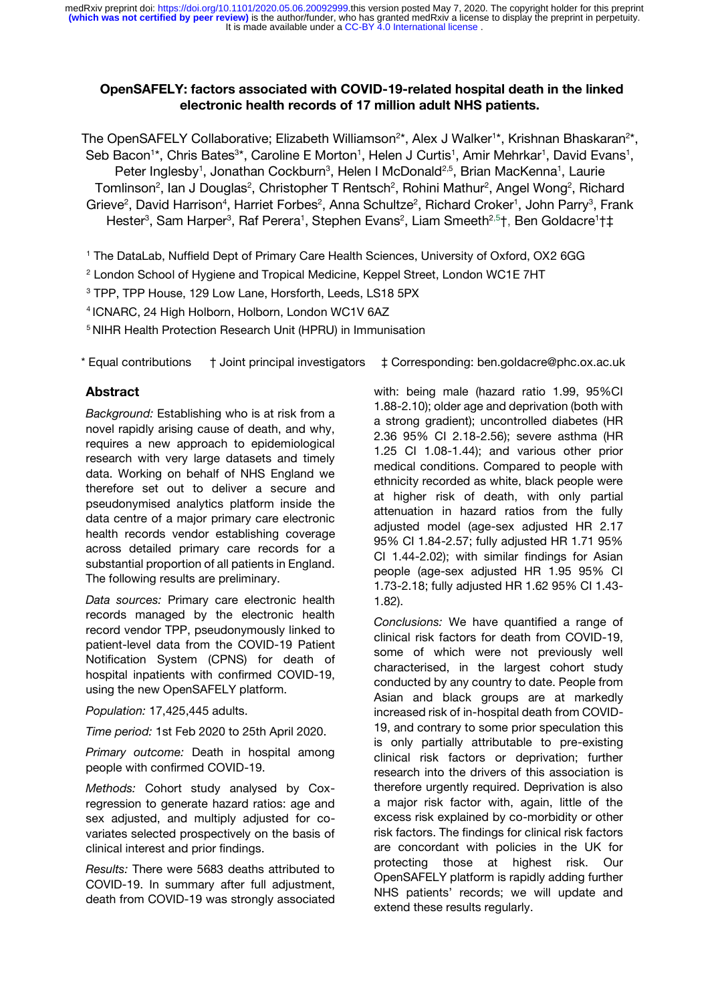### **OpenSAFELY: factors associated with COVID-19-related hospital death in the linked electronic health records of 17 million adult NHS patients.**

The OpenSAFELY Collaborative; Elizabeth Williamson<sup>2\*</sup>, Alex J Walker<sup>1\*</sup>, Krishnan Bhaskaran<sup>2\*</sup>, Seb Bacon<sup>1\*</sup>, Chris Bates<sup>3\*</sup>, Caroline E Morton<sup>1</sup>, Helen J Curtis<sup>1</sup>, Amir Mehrkar<sup>1</sup>, David Evans<sup>1</sup>, Peter Inglesby<sup>1</sup>, Jonathan Cockburn<sup>3</sup>, Helen I McDonald<sup>2,5</sup>, Brian MacKenna<sup>1</sup>, Laurie Tomlinson<sup>2</sup>, Ian J Douglas<sup>2</sup>, Christopher T Rentsch<sup>2</sup>, Rohini Mathur<sup>2</sup>, Angel Wong<sup>2</sup>, Richard Grieve<sup>2</sup>, David Harrison<sup>4</sup>, Harriet Forbes<sup>2</sup>, Anna Schultze<sup>2</sup>, Richard Croker<sup>1</sup>, John Parry<sup>3</sup>, Frank Hester<sup>3</sup>, Sam Harper<sup>3</sup>, Raf Perera<sup>1</sup>, Stephen Evans<sup>2</sup>, Liam Smeeth<sup>2,5</sup>†, Ben Goldacre<sup>1</sup>†‡

<sup>1</sup> The DataLab, Nuffield Dept of Primary Care Health Sciences, University of Oxford, OX2 6GG

- <sup>2</sup> London School of Hygiene and Tropical Medicine, Keppel Street, London WC1E 7HT
- <sup>3</sup> TPP, TPP House, 129 Low Lane, Horsforth, Leeds, LS18 5PX
- <sup>4</sup>ICNARC, 24 High Holborn, Holborn, London WC1V 6AZ

<sup>5</sup> NIHR Health Protection Research Unit (HPRU) in Immunisation

\* Equal contributions † Joint principal investigators ‡ Corresponding: ben.goldacre@phc.ox.ac.uk

#### **Abstract**

*Background:* Establishing who is at risk from a novel rapidly arising cause of death, and why, requires a new approach to epidemiological research with very large datasets and timely data. Working on behalf of NHS England we therefore set out to deliver a secure and pseudonymised analytics platform inside the data centre of a major primary care electronic health records vendor establishing coverage across detailed primary care records for a substantial proportion of all patients in England. The following results are preliminary.

*Data sources:* Primary care electronic health records managed by the electronic health record vendor TPP, pseudonymously linked to patient-level data from the COVID-19 Patient Notification System (CPNS) for death of hospital inpatients with confirmed COVID-19, using the new OpenSAFELY platform.

*Population:* 17,425,445 adults.

*Time period:* 1st Feb 2020 to 25th April 2020.

*Primary outcome:* Death in hospital among people with confirmed COVID-19.

*Methods:* Cohort study analysed by Coxregression to generate hazard ratios: age and sex adjusted, and multiply adjusted for covariates selected prospectively on the basis of clinical interest and prior findings.

*Results:* There were 5683 deaths attributed to COVID-19. In summary after full adjustment, death from COVID-19 was strongly associated with: being male (hazard ratio 1.99, 95%CI 1.88-2.10); older age and deprivation (both with a strong gradient); uncontrolled diabetes (HR 2.36 95% CI 2.18-2.56); severe asthma (HR 1.25 CI 1.08-1.44); and various other prior medical conditions. Compared to people with ethnicity recorded as white, black people were at higher risk of death, with only partial attenuation in hazard ratios from the fully adjusted model (age-sex adjusted HR 2.17 95% CI 1.84-2.57; fully adjusted HR 1.71 95% CI 1.44-2.02); with similar findings for Asian people (age-sex adjusted HR 1.95 95% CI 1.73-2.18; fully adjusted HR 1.62 95% CI 1.43- 1.82).

*Conclusions:* We have quantified a range of clinical risk factors for death from COVID-19, some of which were not previously well characterised, in the largest cohort study conducted by any country to date. People from Asian and black groups are at markedly increased risk of in-hospital death from COVID-19, and contrary to some prior speculation this is only partially attributable to pre-existing clinical risk factors or deprivation; further research into the drivers of this association is therefore urgently required. Deprivation is also a major risk factor with, again, little of the excess risk explained by co-morbidity or other risk factors. The findings for clinical risk factors are concordant with policies in the UK for protecting those at highest risk. Our OpenSAFELY platform is rapidly adding further NHS patients' records; we will update and extend these results regularly.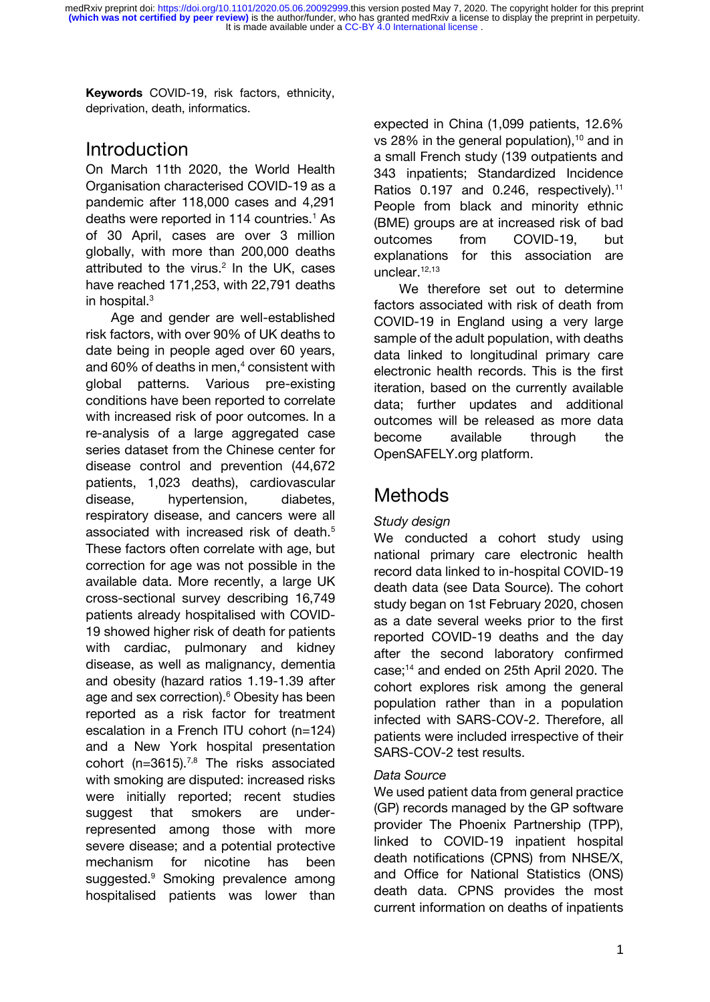**Keywords** COVID-19, risk factors, ethnicity, deprivation, death, informatics.

# **Introduction**

On March 11th 2020, the World Health Organisation characterised COVID-19 as a pandemic after 118,000 cases and 4,291 deaths were reported in 114 countries[.](https://paperpile.com/c/BEe3ru/h8nik)<sup>1</sup> As of 30 April, cases are over 3 million globally, with more than 200,000 deaths attributed to the virus[.](https://paperpile.com/c/BEe3ru/Mvltm) $2$  In the UK, cases have reached 171,253, with 22,791 deaths in hospital[.](https://paperpile.com/c/BEe3ru/K3kVD)<sup>3</sup>

Age and gender are well-established risk factors, with over 90% of UK deaths to date being in people aged over 60 years, and  $60\%$  of deaths in men,<sup>[4](https://paperpile.com/c/dFWgNM/mCZt)</sup> consistent with global patterns. Various pre-existing conditions have been reported to correlate with increased risk of poor outcomes. In a re-analysis of a large aggregated case series dataset from the Chinese center for disease control and prevention (44,672 patients, 1,023 deaths), cardiovascular disease, hypertension, diabetes, respiratory disease, and cancers were all associated with increased risk of death[.](https://paperpile.com/c/dFWgNM/H2qT)<sup>5</sup> These factors often correlate with age, but correction for age was not possible in the available data. More recently, a large UK cross-sectional survey describing 16,749 patients already hospitalised with COVID-19 showed higher risk of death for patients with cardiac, pulmonary and kidney disease, as well as malignancy, dementia and obesity (hazard ratios 1.19-1.39 after age and sex correction)[.](https://paperpile.com/c/dFWgNM/Vj7g)<sup>6</sup> Obesity has been reported as a risk factor for treatment escalation in a French ITU cohort (n=124) and a New York hospital presentation cohort (n=3615).<sup>[7,8](https://paperpile.com/c/dFWgNM/SbrJ+tvu2)</sup> The risks associated with smoking are disputed: increased risks were initially reported; recent studies suggest that smokers are underrepresented among those with more severe disease; and a potential protective mechanism for nicotine has been suggested[.](https://paperpile.com/c/dFWgNM/SXHr)<sup>9</sup> Smoking prevalence among hospitalised patients was lower than

expected in China (1,099 patients, 12.6% vs 28% in the general population), $10$  and in a small French study (139 outpatients and 343 inpatients; Standardized Incidence Ratios 0.197 and 0.246, respectively).<sup>[11](https://paperpile.com/c/dFWgNM/YlJK)</sup> People from black and minority ethnic (BME) groups are at increased risk of bad outcomes from COVID-19, but explanations for this association are unclear.<sup>[12,13](https://paperpile.com/c/dFWgNM/pQwQ+Xn4C)</sup>

We therefore set out to determine factors associated with risk of death from COVID-19 in England using a very large sample of the adult population, with deaths data linked to longitudinal primary care electronic health records. This is the first iteration, based on the currently available data; further updates and additional outcomes will be released as more data become available through the OpenSAFELY.org platform.

# **Methods**

# *Study design*

We conducted a cohort study using national primary care electronic health record data linked to in-hospital COVID-19 death data (see Data Source). The cohort study began on 1st February 2020, chosen as a date several weeks prior to the first reported COVID-19 deaths and the day after the second laboratory confirmed case;[14](https://paperpile.com/c/dFWgNM/QWFp) and ended on 25th April 2020. The cohort explores risk among the general population rather than in a population infected with SARS-COV-2. Therefore, all patients were included irrespective of their SARS-COV-2 test results.

# *Data Source*

We used patient data from general practice (GP) records managed by the GP software provider The Phoenix Partnership (TPP), linked to COVID-19 inpatient hospital death notifications (CPNS) from NHSE/X, and Office for National Statistics (ONS) death data. CPNS provides the most current information on deaths of inpatients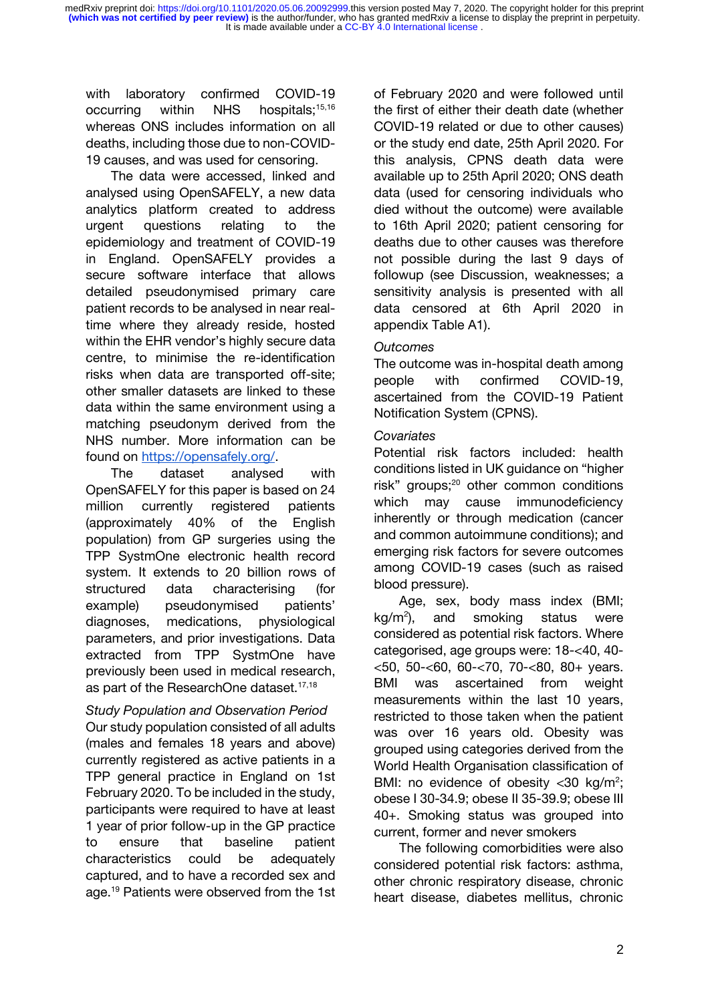with laboratory confirmed COVID-19 occurring within NHS hospitals;<sup>[15,16](https://paperpile.com/c/dFWgNM/gXt1+kaI2)</sup> whereas ONS includes information on all deaths, including those due to non-COVID-19 causes, and was used for censoring.

The data were accessed, linked and analysed using OpenSAFELY, a new data analytics platform created to address urgent questions relating to the epidemiology and treatment of COVID-19 in England. OpenSAFELY provides a secure software interface that allows detailed pseudonymised primary care patient records to be analysed in near realtime where they already reside, hosted within the EHR vendor's highly secure data centre, to minimise the re-identification risks when data are transported off-site; other smaller datasets are linked to these data within the same environment using a matching pseudonym derived from the NHS number. More information can be found on [https://opensafely.org/.](https://opensafely.org/)

The dataset analysed with OpenSAFELY for this paper is based on 24 million currently registered patients (approximately 40% of the English population) from GP surgeries using the TPP SystmOne electronic health record system. It extends to 20 billion rows of structured data characterising (for example) pseudonymised patients' diagnoses, medications, physiological parameters, and prior investigations. Data extracted from TPP SystmOne have previously been used in medical research, as part of the ResearchOne dataset.<sup>[17,18](https://paperpile.com/c/dFWgNM/nLhL+7zy3)</sup>

# *Study Population and Observation Period* Our study population consisted of all adults (males and females 18 years and above) currently registered as active patients in a TPP general practice in England on 1st February 2020. To be included in the study, participants were required to have at least 1 year of prior follow-up in the GP practice to ensure that baseline patient characteristics could be adequately captured, and to have a recorded sex and age.<sup>[19](https://paperpile.com/c/dFWgNM/p7px)</sup> Patients were observed from the 1st

of February 2020 and were followed until the first of either their death date (whether COVID-19 related or due to other causes) or the study end date, 25th April 2020. For this analysis, CPNS death data were available up to 25th April 2020; ONS death data (used for censoring individuals who died without the outcome) were available to 16th April 2020; patient censoring for deaths due to other causes was therefore not possible during the last 9 days of followup (see Discussion, weaknesses; a sensitivity analysis is presented with all data censored at 6th April 2020 in appendix Table A1).

# *Outcomes*

The outcome was in-hospital death among people with confirmed COVID-19, ascertained from the COVID-19 Patient Notification System (CPNS).

# *Covariates*

Potential risk factors included: health conditions listed in UK guidance on "higher risk" groups;<sup>[20](https://paperpile.com/c/dFWgNM/D6BO)</sup> other common conditions which may cause immunodeficiency inherently or through medication (cancer and common autoimmune conditions); and emerging risk factors for severe outcomes among COVID-19 cases (such as raised blood pressure).

Age, sex, body mass index (BMI;  $kg/m<sup>2</sup>$ ), and smoking status were considered as potential risk factors. Where categorised, age groups were: 18-<40, 40- <50, 50-<60, 60-<70, 70-<80, 80+ years. BMI was ascertained from weight measurements within the last 10 years, restricted to those taken when the patient was over 16 years old. Obesity was grouped using categories derived from the World Health Organisation classification of BMI: no evidence of obesity  $<$ 30 kg/m<sup>2</sup>; obese I 30-34.9; obese II 35-39.9; obese III 40+. Smoking status was grouped into current, former and never smokers

The following comorbidities were also considered potential risk factors: asthma, other chronic respiratory disease, chronic heart disease, diabetes mellitus, chronic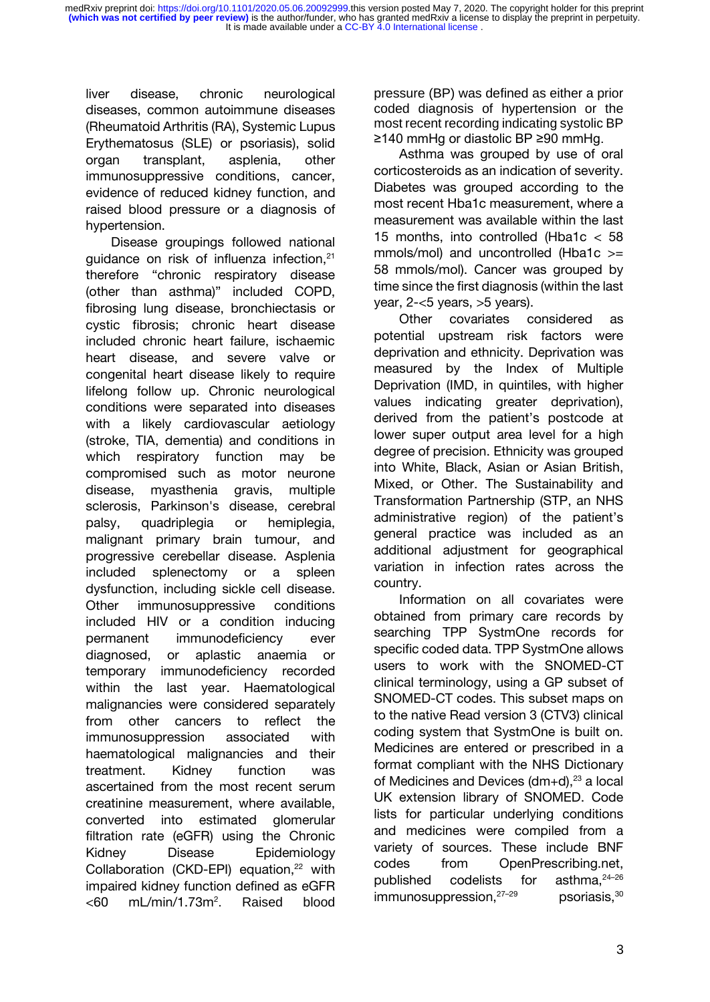liver disease, chronic neurological diseases, common autoimmune diseases (Rheumatoid Arthritis (RA), Systemic Lupus Erythematosus (SLE) or psoriasis), solid organ transplant, asplenia, other immunosuppressive conditions, cancer, evidence of reduced kidney function, and raised blood pressure or a diagnosis of hypertension.

Disease groupings followed national guidance on risk of influenza infection,<sup>[21](https://paperpile.com/c/dFWgNM/gMtt)</sup> therefore "chronic respiratory disease (other than asthma)" included COPD, fibrosing lung disease, bronchiectasis or cystic fibrosis; chronic heart disease included chronic heart failure, ischaemic heart disease, and severe valve or congenital heart disease likely to require lifelong follow up. Chronic neurological conditions were separated into diseases with a likely cardiovascular aetiology (stroke, TIA, dementia) and conditions in which respiratory function may be compromised such as motor neurone disease, myasthenia gravis, multiple sclerosis, Parkinson's disease, cerebral palsy, quadriplegia or hemiplegia, malignant primary brain tumour, and progressive cerebellar disease. Asplenia included splenectomy or a spleen dysfunction, including sickle cell disease. Other immunosuppressive conditions included HIV or a condition inducing permanent immunodeficiency ever diagnosed, or aplastic anaemia or temporary immunodeficiency recorded within the last year. Haematological malignancies were considered separately from other cancers to reflect the immunosuppression associated with haematological malignancies and their treatment. Kidney function was ascertained from the most recent serum creatinine measurement, where available, converted into estimated glomerular filtration rate (eGFR) using the Chronic Kidney Disease Epidemiology Collaboration (CKD-EPI) equation,<sup>[22](https://paperpile.com/c/dFWgNM/C5xp)</sup> with impaired kidney function defined as eGFR  $< 60$  mL/min/1.73m<sup>2</sup>. . Raised blood

pressure (BP) was defined as either a prior coded diagnosis of hypertension or the most recent recording indicating systolic BP ≥140 mmHg or diastolic BP ≥90 mmHg.

Asthma was grouped by use of oral corticosteroids as an indication of severity. Diabetes was grouped according to the most recent Hba1c measurement, where a measurement was available within the last 15 months, into controlled (Hba1c < 58 mmols/mol) and uncontrolled (Hba1c >= 58 mmols/mol). Cancer was grouped by time since the first diagnosis (within the last year, 2-<5 years, >5 years).

Other covariates considered as potential upstream risk factors were deprivation and ethnicity. Deprivation was measured by the Index of Multiple Deprivation (IMD, in quintiles, with higher values indicating greater deprivation), derived from the patient's postcode at lower super output area level for a high degree of precision. Ethnicity was grouped into White, Black, Asian or Asian British, Mixed, or Other. The Sustainability and Transformation Partnership (STP, an NHS administrative region) of the patient's general practice was included as an additional adjustment for geographical variation in infection rates across the country.

Information on all covariates were obtained from primary care records by searching TPP SystmOne records for specific coded data. TPP SystmOne allows users to work with the SNOMED-CT clinical terminology, using a GP subset of SNOMED-CT codes. This subset maps on to the native Read version 3 (CTV3) clinical coding system that SystmOne is built on. Medicines are entered or prescribed in a format compliant with the NHS Dictionary of Medicines and Devices ( $dm+d$ ),  $23$  a local UK extension library of SNOMED. Code lists for particular underlying conditions and medicines were compiled from a variety of sources. These include BNF codes from OpenPrescribing.net, published codelists for asthma.<sup>[24](https://paperpile.com/c/dFWgNM/x0uP+M4dE+8smq)-26</sup>  $immunosuppression<sub>1</sub><sup>27–29</sup>$  $immunosuppression<sub>1</sub><sup>27–29</sup>$  $immunosuppression<sub>1</sub><sup>27–29</sup>$  psoriasis,<sup>[30](https://paperpile.com/c/dFWgNM/OLdp)</sup>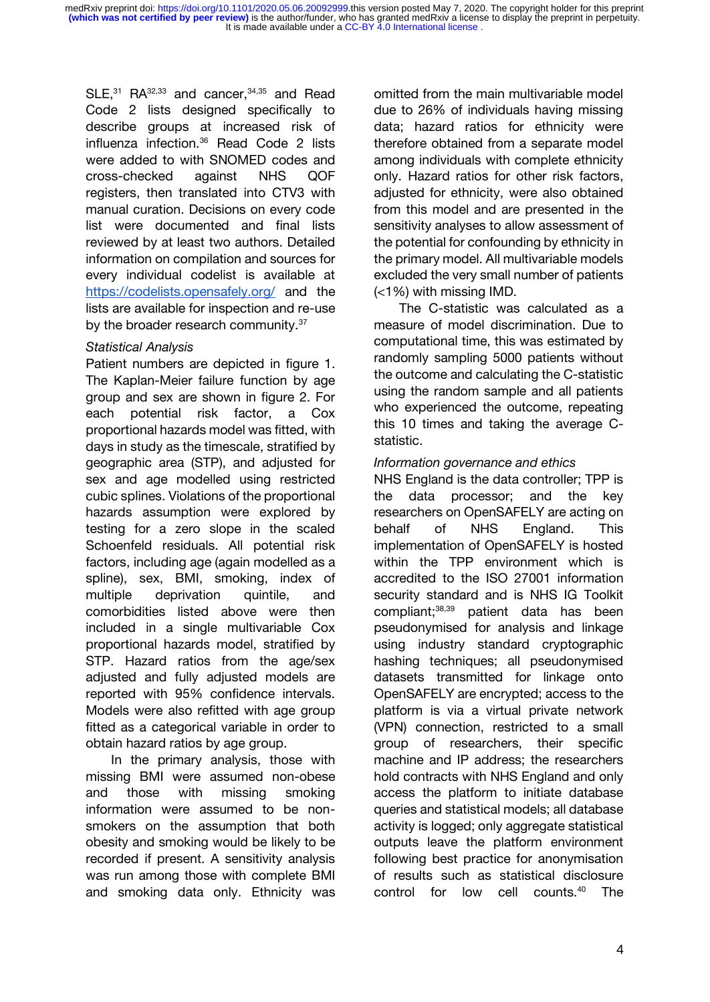$SLE$ ,<sup>[31](https://paperpile.com/c/dFWgNM/fquX)</sup> RA<sup>[32,33](https://paperpile.com/c/dFWgNM/m8iR+g3AD)</sup> and cancer,<sup>[34,35](https://paperpile.com/c/dFWgNM/3lQV+HlFz)</sup> and Read Code 2 lists designed specifically to describe groups at increased risk of influenza infection.[36](https://paperpile.com/c/dFWgNM/b7X3) Read Code 2 lists were added to with SNOMED codes and cross-checked against NHS QOF registers, then translated into CTV3 with manual curation. Decisions on every code list were documented and final lists reviewed by at least two authors. Detailed information on compilation and sources for every individual codelist is available at <https://codelists.opensafely.org/> and the lists are available for inspection and re-use by the broader research community.<sup>[37](https://paperpile.com/c/dFWgNM/8go3)</sup>

### *Statistical Analysis*

Patient numbers are depicted in figure 1. The Kaplan-Meier failure function by age group and sex are shown in figure 2. For each potential risk factor, a Cox proportional hazards model was fitted, with days in study as the timescale, stratified by geographic area (STP), and adjusted for sex and age modelled using restricted cubic splines. Violations of the proportional hazards assumption were explored by testing for a zero slope in the scaled Schoenfeld residuals. All potential risk factors, including age (again modelled as a spline), sex, BMI, smoking, index of multiple deprivation quintile, and comorbidities listed above were then included in a single multivariable Cox proportional hazards model, stratified by STP. Hazard ratios from the age/sex adjusted and fully adjusted models are reported with 95% confidence intervals. Models were also refitted with age group fitted as a categorical variable in order to obtain hazard ratios by age group.

In the primary analysis, those with missing BMI were assumed non-obese and those with missing smoking information were assumed to be nonsmokers on the assumption that both obesity and smoking would be likely to be recorded if present. A sensitivity analysis was run among those with complete BMI and smoking data only. Ethnicity was

omitted from the main multivariable model due to 26% of individuals having missing data; hazard ratios for ethnicity were therefore obtained from a separate model among individuals with complete ethnicity only. Hazard ratios for other risk factors, adjusted for ethnicity, were also obtained from this model and are presented in the sensitivity analyses to allow assessment of the potential for confounding by ethnicity in the primary model. All multivariable models excluded the very small number of patients (<1%) with missing IMD.

The C-statistic was calculated as a measure of model discrimination. Due to computational time, this was estimated by randomly sampling 5000 patients without the outcome and calculating the C-statistic using the random sample and all patients who experienced the outcome, repeating this 10 times and taking the average Cstatistic.

#### *Information governance and ethics*

NHS England is the data controller; TPP is the data processor; and the key researchers on OpenSAFELY are acting on behalf of NHS England. This implementation of OpenSAFELY is hosted within the TPP environment which is accredited to the ISO 27001 information security standard and is NHS IG Toolkit compliant;[38,39](https://paperpile.com/c/dFWgNM/hxeV+fhpk) patient data has been pseudonymised for analysis and linkage using industry standard cryptographic hashing techniques; all pseudonymised datasets transmitted for linkage onto OpenSAFELY are encrypted; access to the platform is via a virtual private network (VPN) connection, restricted to a small group of researchers, their specific machine and IP address; the researchers hold contracts with NHS England and only access the platform to initiate database queries and statistical models; all database activity is logged; only aggregate statistical outputs leave the platform environment following best practice for anonymisation of results such as statistical disclosure control for low cell counts.[40](https://paperpile.com/c/dFWgNM/9fpc) The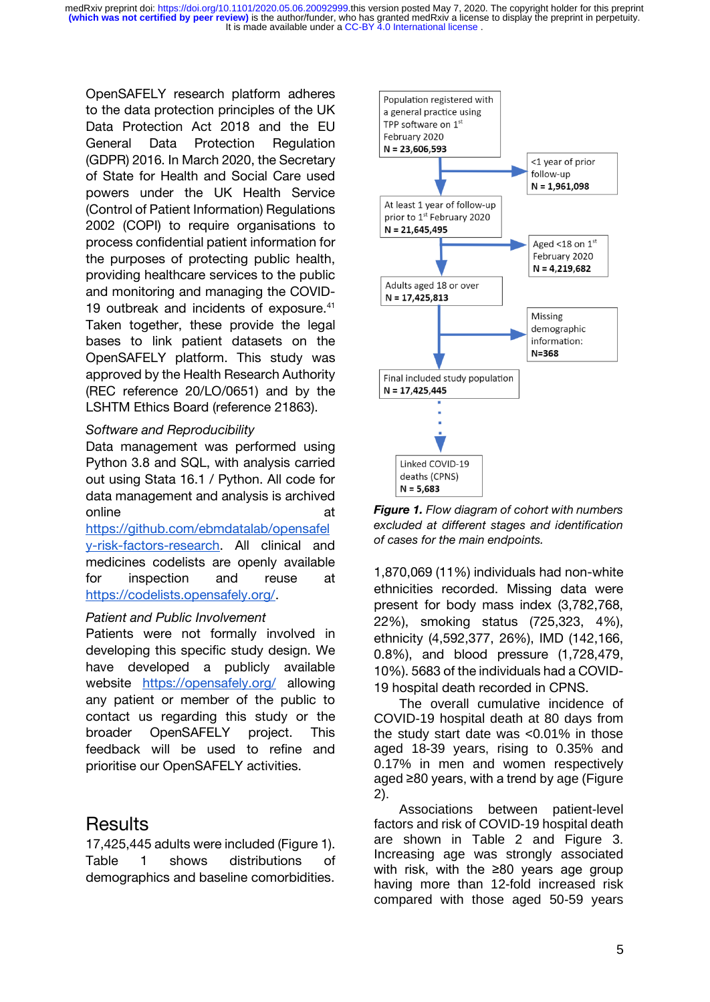It is made available under a [CC-BY 4.0 International license](http://creativecommons.org/licenses/by/4.0/) . **(which was not certified by peer review)** is the author/funder, who has granted medRxiv a license to display the preprint in perpetuity. medRxiv preprint doi: [https://doi.org/10.1101/2020.05.06.20092999.](https://doi.org/10.1101/2020.05.06.20092999)this version posted May 7, 2020. The copyright holder for this preprint

OpenSAFELY research platform adheres to the data protection principles of the UK Data Protection Act 2018 and the EU General Data Protection Regulation (GDPR) 2016. In March 2020, the Secretary of State for Health and Social Care used powers under the UK Health Service (Control of Patient Information) Regulations 2002 (COPI) to require organisations to process confidential patient information for the purposes of protecting public health, providing healthcare services to the public and monitoring and managing the COVID-19 outbreak and incidents of exposure.<sup>[41](https://paperpile.com/c/dFWgNM/qp3v)</sup> Taken together, these provide the legal bases to link patient datasets on the OpenSAFELY platform. This study was approved by the Health Research Authority (REC reference 20/LO/0651) and by the LSHTM Ethics Board (reference 21863).

#### *Software and Reproducibility*

Data management was performed using Python 3.8 and SQL, with analysis carried out using Stata 16.1 / Python. All code for data management and analysis is archived online at a control of the control of the control of the control of the control of the control of the control of the control of the control of the control of the control of the control of the control of the control of the

[https://github.com/ebmdatalab/opensafel](https://github.com/ebmdatalab/opensafely-risk-factors-research) [y-risk-factors-research.](https://github.com/ebmdatalab/opensafely-risk-factors-research) All clinical and medicines codelists are openly available for inspection and reuse at [https://codelists.opensafely.org/.](https://codelists.opensafely.org/)

### *Patient and Public Involvement*

Patients were not formally involved in developing this specific study design. We have developed a publicly available website <https://opensafely.org/> allowing any patient or member of the public to contact us regarding this study or the broader OpenSAFELY project. This feedback will be used to refine and prioritise our OpenSAFELY activities.

# **Results**

17,425,445 adults were included (Figure 1). Table 1 shows distributions of demographics and baseline comorbidities.



*Figure 1. Flow diagram of cohort with numbers excluded at different stages and identification of cases for the main endpoints.*

1,870,069 (11%) individuals had non-white ethnicities recorded. Missing data were present for body mass index (3,782,768, 22%), smoking status (725,323, 4%), ethnicity (4,592,377, 26%), IMD (142,166, 0.8%), and blood pressure (1,728,479, 10%). 5683 of the individuals had a COVID-19 hospital death recorded in CPNS.

The overall cumulative incidence of COVID-19 hospital death at 80 days from the study start date was <0.01% in those aged 18-39 years, rising to 0.35% and 0.17% in men and women respectively aged ≥80 years, with a trend by age (Figure 2).

Associations between patient-level factors and risk of COVID-19 hospital death are shown in Table 2 and Figure 3. Increasing age was strongly associated with risk, with the ≥80 years age group having more than 12-fold increased risk compared with those aged 50-59 years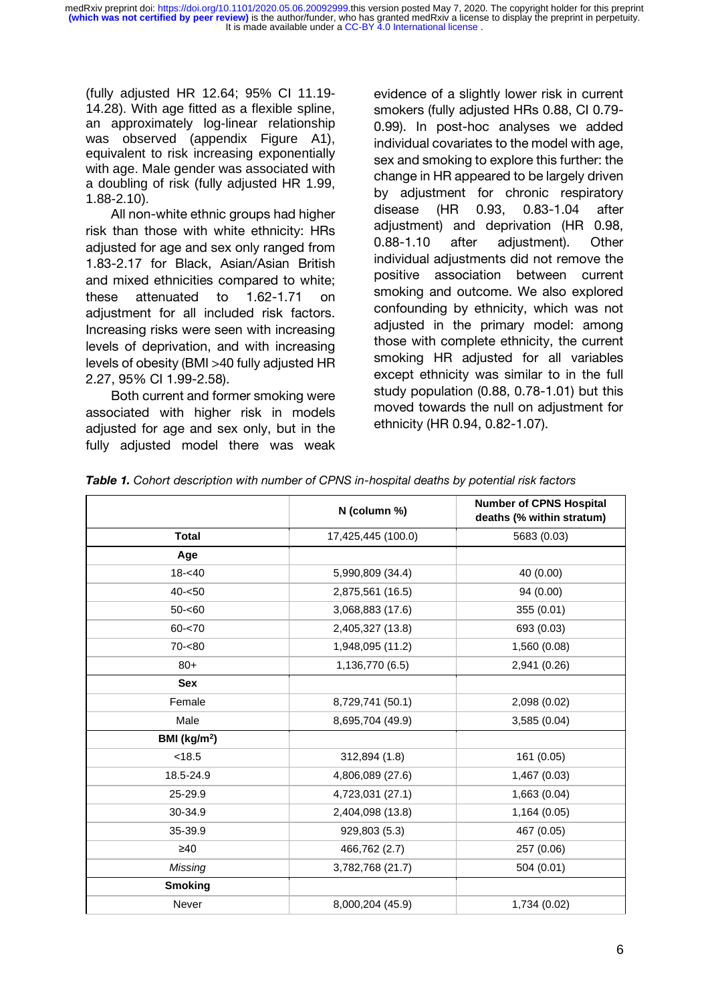It is made available under a [CC-BY 4.0 International license](http://creativecommons.org/licenses/by/4.0/) . **(which was not certified by peer review)** is the author/funder, who has granted medRxiv a license to display the preprint in perpetuity. medRxiv preprint doi: [https://doi.org/10.1101/2020.05.06.20092999.](https://doi.org/10.1101/2020.05.06.20092999)this version posted May 7, 2020. The copyright holder for this preprint

(fully adjusted HR 12.64; 95% CI 11.19- 14.28). With age fitted as a flexible spline, an approximately log-linear relationship was observed (appendix Figure A1), equivalent to risk increasing exponentially with age. Male gender was associated with a doubling of risk (fully adjusted HR 1.99, 1.88-2.10).

All non-white ethnic groups had higher risk than those with white ethnicity: HRs adjusted for age and sex only ranged from 1.83-2.17 for Black, Asian/Asian British and mixed ethnicities compared to white; these attenuated to 1.62-1.71 on adjustment for all included risk factors. Increasing risks were seen with increasing levels of deprivation, and with increasing levels of obesity (BMI >40 fully adjusted HR 2.27, 95% CI 1.99-2.58).

Both current and former smoking were associated with higher risk in models adjusted for age and sex only, but in the fully adjusted model there was weak evidence of a slightly lower risk in current smokers (fully adjusted HRs 0.88, CI 0.79- 0.99). In post-hoc analyses we added individual covariates to the model with age, sex and smoking to explore this further: the change in HR appeared to be largely driven by adjustment for chronic respiratory disease (HR 0.93, 0.83-1.04 after adjustment) and deprivation (HR 0.98, 0.88-1.10 after adjustment). Other individual adjustments did not remove the positive association between current smoking and outcome. We also explored confounding by ethnicity, which was not adjusted in the primary model: among those with complete ethnicity, the current smoking HR adjusted for all variables except ethnicity was similar to in the full study population (0.88, 0.78-1.01) but this moved towards the null on adjustment for ethnicity (HR 0.94, 0.82-1.07).

|                 | N (column %)       | <b>Number of CPNS Hospital</b><br>deaths (% within stratum) |
|-----------------|--------------------|-------------------------------------------------------------|
| <b>Total</b>    | 17,425,445 (100.0) | 5683 (0.03)                                                 |
| Age             |                    |                                                             |
| $18 - 40$       | 5,990,809 (34.4)   | 40 (0.00)                                                   |
| $40 - 50$       | 2,875,561 (16.5)   | 94 (0.00)                                                   |
| $50 - 60$       | 3,068,883 (17.6)   | 355 (0.01)                                                  |
| $60 - 70$       | 2,405,327 (13.8)   | 693 (0.03)                                                  |
| $70 - 80$       | 1,948,095 (11.2)   | 1,560 (0.08)                                                |
| $80+$           | 1,136,770 (6.5)    | 2,941 (0.26)                                                |
| <b>Sex</b>      |                    |                                                             |
| Female          | 8,729,741 (50.1)   | 2,098 (0.02)                                                |
| Male            | 8,695,704 (49.9)   | 3,585 (0.04)                                                |
| BMI ( $kg/m2$ ) |                    |                                                             |
| < 18.5          | 312,894 (1.8)      | 161 (0.05)                                                  |
| 18.5-24.9       | 4,806,089 (27.6)   | 1,467 (0.03)                                                |
| 25-29.9         | 4,723,031 (27.1)   | 1,663 (0.04)                                                |
| 30-34.9         | 2,404,098 (13.8)   | 1,164 (0.05)                                                |
| 35-39.9         | 929,803 (5.3)      | 467 (0.05)                                                  |
| $\geq 40$       | 466,762 (2.7)      | 257 (0.06)                                                  |
| Missing         | 3,782,768 (21.7)   | 504 (0.01)                                                  |
| <b>Smoking</b>  |                    |                                                             |
| Never           | 8,000,204 (45.9)   | 1,734 (0.02)                                                |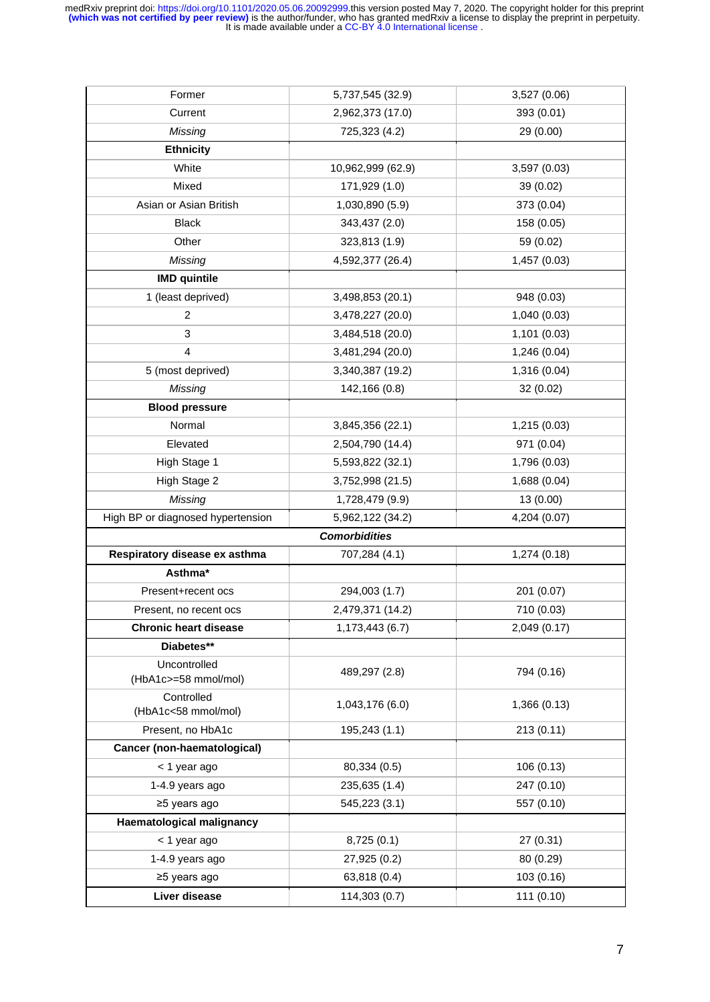| Former                               | 5,737,545 (32.9)     | 3,527 (0.06) |
|--------------------------------------|----------------------|--------------|
| Current                              | 2,962,373 (17.0)     | 393 (0.01)   |
| <b>Missing</b>                       | 725,323 (4.2)        | 29 (0.00)    |
| <b>Ethnicity</b>                     |                      |              |
| White                                | 10,962,999 (62.9)    | 3,597 (0.03) |
| Mixed                                | 171,929 (1.0)        | 39 (0.02)    |
| Asian or Asian British               | 1,030,890 (5.9)      | 373 (0.04)   |
| <b>Black</b>                         | 343,437 (2.0)        | 158 (0.05)   |
| Other                                | 323,813 (1.9)        | 59 (0.02)    |
| Missing                              | 4,592,377 (26.4)     | 1,457 (0.03) |
| <b>IMD</b> quintile                  |                      |              |
| 1 (least deprived)                   | 3,498,853 (20.1)     | 948 (0.03)   |
| $\overline{c}$                       | 3,478,227 (20.0)     | 1,040 (0.03) |
| 3                                    | 3,484,518 (20.0)     | 1,101 (0.03) |
| 4                                    | 3,481,294 (20.0)     | 1,246 (0.04) |
| 5 (most deprived)                    | 3,340,387 (19.2)     | 1,316 (0.04) |
| Missing                              | 142,166 (0.8)        | 32 (0.02)    |
| <b>Blood pressure</b>                |                      |              |
| Normal                               | 3,845,356 (22.1)     | 1,215 (0.03) |
| Elevated                             | 2,504,790 (14.4)     | 971 (0.04)   |
| High Stage 1                         | 5,593,822 (32.1)     | 1,796 (0.03) |
| High Stage 2                         | 3,752,998 (21.5)     | 1,688 (0.04) |
| Missing                              | 1,728,479 (9.9)      | 13 (0.00)    |
| High BP or diagnosed hypertension    | 5,962,122 (34.2)     | 4,204 (0.07) |
|                                      | <b>Comorbidities</b> |              |
| Respiratory disease ex asthma        | 707,284 (4.1)        | 1,274 (0.18) |
| Asthma*                              |                      |              |
| Present+recent ocs                   | 294,003 (1.7)        | 201 (0.07)   |
| Present, no recent ocs               | 2,479,371 (14.2)     | 710 (0.03)   |
| <b>Chronic heart disease</b>         | 1,173,443 (6.7)      | 2,049 (0.17) |
| Diabetes**                           |                      |              |
| Uncontrolled<br>(HbA1c>=58 mmol/mol) | 489,297 (2.8)        | 794 (0.16)   |
| Controlled<br>(HbA1c<58 mmol/mol)    | 1,043,176 (6.0)      | 1,366 (0.13) |
| Present, no HbA1c                    | 195,243 (1.1)        | 213(0.11)    |
| Cancer (non-haematological)          |                      |              |
| < 1 year ago                         | 80,334 (0.5)         | 106(0.13)    |
| 1-4.9 years ago                      | 235,635 (1.4)        | 247 (0.10)   |
| ≥5 years ago                         | 545,223 (3.1)        | 557 (0.10)   |
| Haematological malignancy            |                      |              |
| < 1 year ago                         | 8,725(0.1)           | 27 (0.31)    |
| 1-4.9 years ago                      | 27,925 (0.2)         | 80 (0.29)    |
| ≥5 years ago                         | 63,818 (0.4)         | 103(0.16)    |
| Liver disease                        | 114,303 (0.7)        | 111(0.10)    |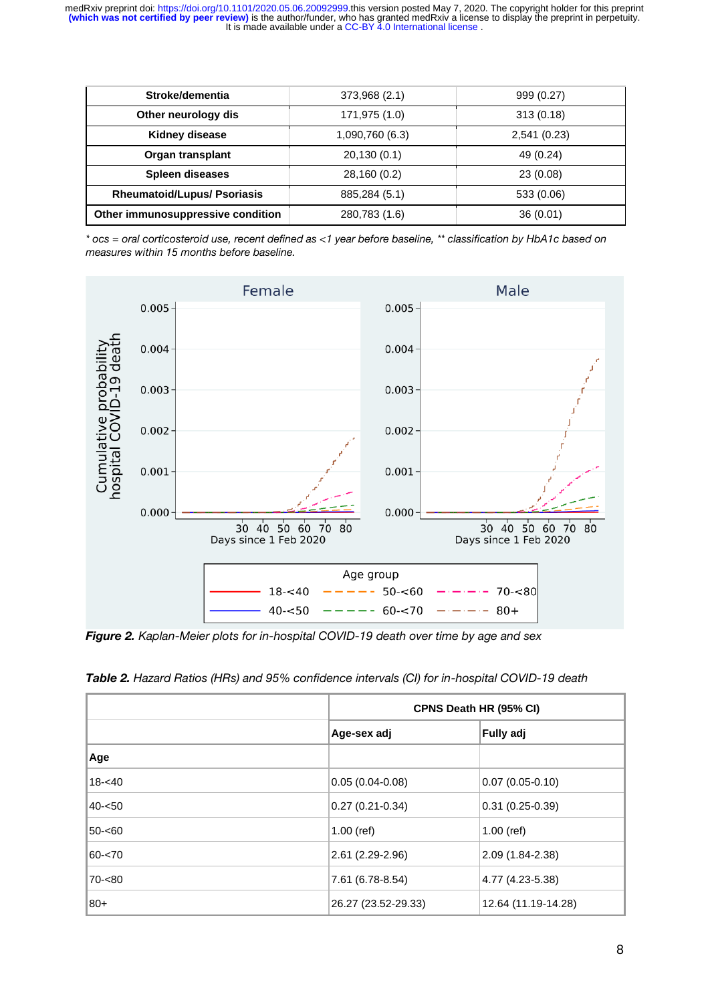| Stroke/dementia                    | 373,968 (2.1)   | 999 (0.27)   |
|------------------------------------|-----------------|--------------|
| Other neurology dis                | 171,975 (1.0)   | 313(0.18)    |
| Kidney disease                     | 1,090,760 (6.3) | 2,541 (0.23) |
| Organ transplant                   | 20,130(0.1)     | 49 (0.24)    |
| <b>Spleen diseases</b>             | 28,160 (0.2)    | 23(0.08)     |
| <b>Rheumatoid/Lupus/ Psoriasis</b> | 885,284 (5.1)   | 533 (0.06)   |
| Other immunosuppressive condition  | 280,783 (1.6)   | 36(0.01)     |

*\* ocs = oral corticosteroid use, recent defined as <1 year before baseline, \*\* classification by HbA1c based on measures within 15 months before baseline.*



*Figure 2. Kaplan-Meier plots for in-hospital COVID-19 death over time by age and sex* 

|           | CPNS Death HR (95% CI)          |                     |  |  |
|-----------|---------------------------------|---------------------|--|--|
|           | <b>Fully adj</b><br>Age-sex adj |                     |  |  |
| Age       |                                 |                     |  |  |
| $18 - 40$ | $0.05(0.04-0.08)$               | $0.07(0.05-0.10)$   |  |  |
| 40-<50    | $0.27(0.21-0.34)$               | $0.31(0.25-0.39)$   |  |  |
| 50-<60    | $1.00$ (ref)                    | $1.00$ (ref)        |  |  |
| $60 - 70$ | $2.61(2.29-2.96)$               | 2.09 (1.84-2.38)    |  |  |
| 70-<80    | 7.61 (6.78-8.54)                | 4.77 (4.23-5.38)    |  |  |
| ∣80+      | 26.27 (23.52-29.33)             | 12.64 (11.19-14.28) |  |  |

| Table 2. Hazard Ratios (HRs) and 95% confidence intervals (CI) for in-hospital COVID-19 death |  |  |  |  |  |  |  |
|-----------------------------------------------------------------------------------------------|--|--|--|--|--|--|--|
|-----------------------------------------------------------------------------------------------|--|--|--|--|--|--|--|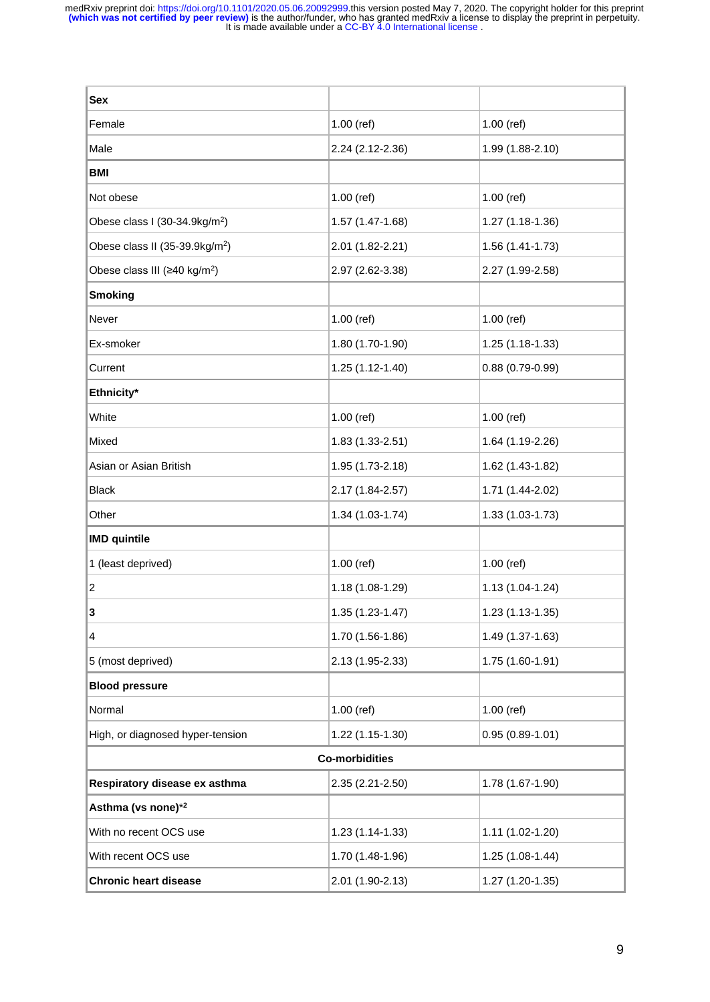| <b>Sex</b>                                      |                   |                     |  |  |  |
|-------------------------------------------------|-------------------|---------------------|--|--|--|
| Female                                          | $1.00$ (ref)      | $1.00$ (ref)        |  |  |  |
| Male                                            | 2.24 (2.12-2.36)  | 1.99 (1.88-2.10)    |  |  |  |
| <b>BMI</b>                                      |                   |                     |  |  |  |
| Not obese                                       | $1.00$ (ref)      | $1.00$ (ref)        |  |  |  |
| Obese class I (30-34.9kg/m <sup>2</sup> )       | 1.57 (1.47-1.68)  | 1.27 (1.18-1.36)    |  |  |  |
| Obese class II (35-39.9kg/m <sup>2</sup> )      | 2.01 (1.82-2.21)  | 1.56 (1.41-1.73)    |  |  |  |
| Obese class III ( $\geq 40$ kg/m <sup>2</sup> ) | 2.97 (2.62-3.38)  | 2.27 (1.99-2.58)    |  |  |  |
| <b>Smoking</b>                                  |                   |                     |  |  |  |
| Never                                           | $1.00$ (ref)      | $1.00$ (ref)        |  |  |  |
| Ex-smoker                                       | 1.80 (1.70-1.90)  | 1.25 (1.18-1.33)    |  |  |  |
| Current                                         | 1.25 (1.12-1.40)  | $0.88(0.79-0.99)$   |  |  |  |
| Ethnicity*                                      |                   |                     |  |  |  |
| White                                           | $1.00$ (ref)      | $1.00$ (ref)        |  |  |  |
| Mixed                                           | 1.83 (1.33-2.51)  | 1.64 (1.19-2.26)    |  |  |  |
| Asian or Asian British                          | 1.95 (1.73-2.18)  | 1.62 (1.43-1.82)    |  |  |  |
| <b>Black</b>                                    | 2.17 (1.84-2.57)  | 1.71 (1.44-2.02)    |  |  |  |
| Other                                           | 1.34 (1.03-1.74)  | 1.33 (1.03-1.73)    |  |  |  |
| <b>IMD</b> quintile                             |                   |                     |  |  |  |
| 1 (least deprived)                              | $1.00$ (ref)      | $1.00$ (ref)        |  |  |  |
| $\overline{c}$                                  | 1.18 (1.08-1.29)  | 1.13 (1.04-1.24)    |  |  |  |
| 3                                               | $1.35(1.23-1.47)$ | 1.23 (1.13-1.35)    |  |  |  |
| 4                                               | 1.70 (1.56-1.86)  | 1.49 (1.37-1.63)    |  |  |  |
| 5 (most deprived)                               | 2.13 (1.95-2.33)  | 1.75 (1.60-1.91)    |  |  |  |
| <b>Blood pressure</b>                           |                   |                     |  |  |  |
| Normal                                          | $1.00$ (ref)      | $1.00$ (ref)        |  |  |  |
| High, or diagnosed hyper-tension                | 1.22 (1.15-1.30)  | $0.95(0.89 - 1.01)$ |  |  |  |
| <b>Co-morbidities</b>                           |                   |                     |  |  |  |
| Respiratory disease ex asthma                   | 2.35 (2.21-2.50)  | 1.78 (1.67-1.90)    |  |  |  |
| Asthma (vs none)* <sup>2</sup>                  |                   |                     |  |  |  |
| With no recent OCS use                          | 1.23 (1.14-1.33)  | 1.11 (1.02-1.20)    |  |  |  |
| With recent OCS use                             | 1.70 (1.48-1.96)  | 1.25 (1.08-1.44)    |  |  |  |
| <b>Chronic heart disease</b>                    | 2.01 (1.90-2.13)  | 1.27 (1.20-1.35)    |  |  |  |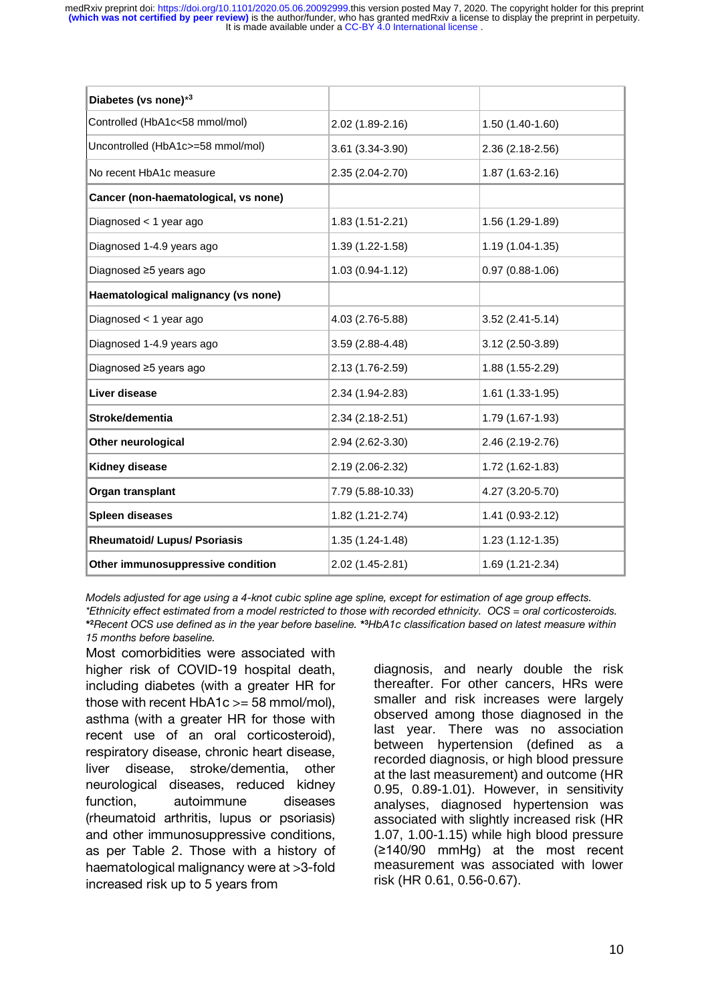It is made available under a [CC-BY 4.0 International license](http://creativecommons.org/licenses/by/4.0/) . **(which was not certified by peer review)** is the author/funder, who has granted medRxiv a license to display the preprint in perpetuity. medRxiv preprint doi: [https://doi.org/10.1101/2020.05.06.20092999.](https://doi.org/10.1101/2020.05.06.20092999)this version posted May 7, 2020. The copyright holder for this preprint

| Diabetes (vs none)*3                 |                     |                   |
|--------------------------------------|---------------------|-------------------|
| Controlled (HbA1c<58 mmol/mol)       | 2.02 (1.89-2.16)    | 1.50 (1.40-1.60)  |
| Uncontrolled (HbA1c>=58 mmol/mol)    | 3.61 (3.34-3.90)    | 2.36 (2.18-2.56)  |
| No recent HbA1c measure              | 2.35 (2.04-2.70)    | 1.87 (1.63-2.16)  |
| Cancer (non-haematological, vs none) |                     |                   |
| Diagnosed < 1 year ago               | 1.83 (1.51-2.21)    | 1.56 (1.29-1.89)  |
| Diagnosed 1-4.9 years ago            | 1.39 (1.22-1.58)    | 1.19 (1.04-1.35)  |
| Diagnosed ≥5 years ago               | $1.03(0.94 - 1.12)$ | $0.97(0.88-1.06)$ |
| Haematological malignancy (vs none)  |                     |                   |
| Diagnosed < 1 year ago               | 4.03 (2.76-5.88)    | $3.52(2.41-5.14)$ |
| Diagnosed 1-4.9 years ago            | 3.59 (2.88-4.48)    | 3.12 (2.50-3.89)  |
| Diagnosed ≥5 years ago               | 2.13 (1.76-2.59)    | 1.88 (1.55-2.29)  |
| Liver disease                        | 2.34 (1.94-2.83)    | 1.61 (1.33-1.95)  |
| Stroke/dementia                      | 2.34 (2.18-2.51)    | 1.79 (1.67-1.93)  |
| <b>Other neurological</b>            | 2.94 (2.62-3.30)    | 2.46 (2.19-2.76)  |
| Kidney disease                       | 2.19 (2.06-2.32)    | 1.72 (1.62-1.83)  |
| Organ transplant                     | 7.79 (5.88-10.33)   | 4.27 (3.20-5.70)  |
| <b>Spleen diseases</b>               | 1.82 (1.21-2.74)    | 1.41 (0.93-2.12)  |
| <b>Rheumatoid/ Lupus/ Psoriasis</b>  | $1.35(1.24 - 1.48)$ | $1.23(1.12-1.35)$ |
| Other immunosuppressive condition    | 2.02 (1.45-2.81)    | 1.69 (1.21-2.34)  |

*Models adjusted for age using a 4-knot cubic spline age spline, except for estimation of age group effects. \*Ethnicity effect estimated from a model restricted to those with recorded ethnicity. OCS = oral corticosteroids.*  **\* <sup>2</sup>***Recent OCS use defined as in the year before baseline.* **\* <sup>3</sup>***HbA1c classification based on latest measure within 15 months before baseline.*

Most comorbidities were associated with higher risk of COVID-19 hospital death, including diabetes (with a greater HR for those with recent  $HbA1c >= 58$  mmol/mol), asthma (with a greater HR for those with recent use of an oral corticosteroid), respiratory disease, chronic heart disease, liver disease, stroke/dementia, other neurological diseases, reduced kidney function, autoimmune diseases (rheumatoid arthritis, lupus or psoriasis) and other immunosuppressive conditions, as per Table 2. Those with a history of haematological malignancy were at >3-fold increased risk up to 5 years from

diagnosis, and nearly double the risk thereafter. For other cancers, HRs were smaller and risk increases were largely observed among those diagnosed in the last year. There was no association between hypertension (defined as a recorded diagnosis, or high blood pressure at the last measurement) and outcome (HR 0.95, 0.89-1.01). However, in sensitivity analyses, diagnosed hypertension was associated with slightly increased risk (HR 1.07, 1.00-1.15) while high blood pressure (≥140/90 mmHg) at the most recent measurement was associated with lower risk (HR 0.61, 0.56-0.67).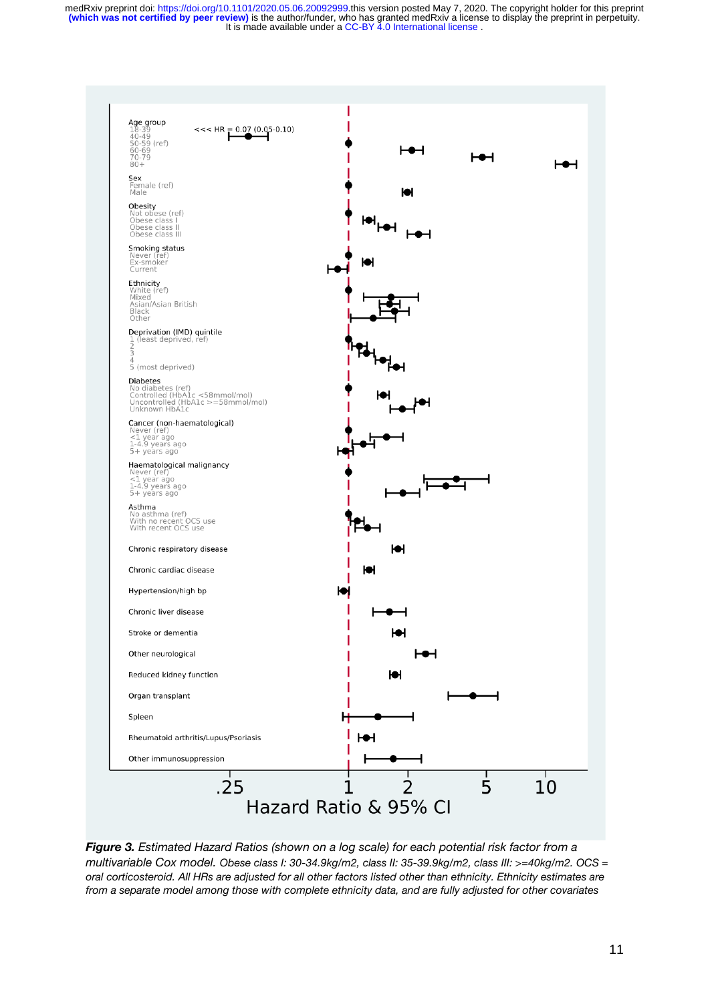

*Figure 3. Estimated Hazard Ratios (shown on a log scale) for each potential risk factor from a multivariable Cox model. Obese class I: 30-34.9kg/m2, class II: 35-39.9kg/m2, class III: >=40kg/m2. OCS = oral corticosteroid. All HRs are adjusted for all other factors listed other than ethnicity. Ethnicity estimates are from a separate model among those with complete ethnicity data, and are fully adjusted for other covariates*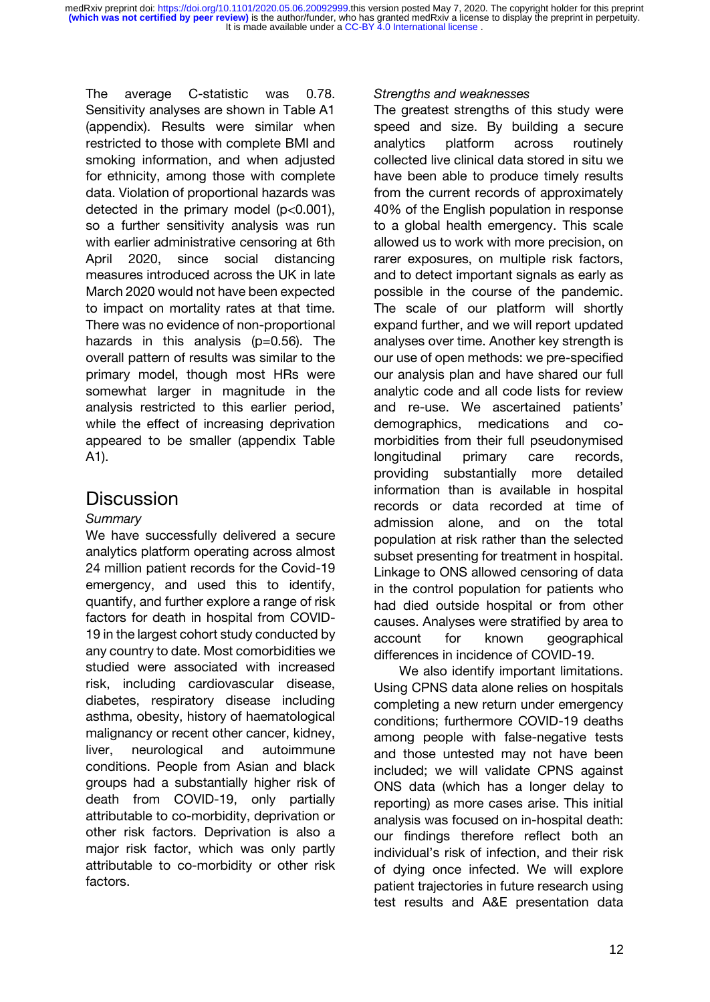It is made available under a [CC-BY 4.0 International license](http://creativecommons.org/licenses/by/4.0/) . **(which was not certified by peer review)** is the author/funder, who has granted medRxiv a license to display the preprint in perpetuity. medRxiv preprint doi: [https://doi.org/10.1101/2020.05.06.20092999.](https://doi.org/10.1101/2020.05.06.20092999)this version posted May 7, 2020. The copyright holder for this preprint

The average C-statistic was 0.78. Sensitivity analyses are shown in Table A1 (appendix). Results were similar when restricted to those with complete BMI and smoking information, and when adjusted for ethnicity, among those with complete data. Violation of proportional hazards was detected in the primary model  $(p<0.001)$ , so a further sensitivity analysis was run with earlier administrative censoring at 6th April 2020, since social distancing measures introduced across the UK in late March 2020 would not have been expected to impact on mortality rates at that time. There was no evidence of non-proportional hazards in this analysis  $(p=0.56)$ . The overall pattern of results was similar to the primary model, though most HRs were somewhat larger in magnitude in the analysis restricted to this earlier period, while the effect of increasing deprivation appeared to be smaller (appendix Table A1).

# **Discussion**

# *Summary*

We have successfully delivered a secure analytics platform operating across almost 24 million patient records for the Covid-19 emergency, and used this to identify, quantify, and further explore a range of risk factors for death in hospital from COVID-19 in the largest cohort study conducted by any country to date. Most comorbidities we studied were associated with increased risk, including cardiovascular disease, diabetes, respiratory disease including asthma, obesity, history of haematological malignancy or recent other cancer, kidney, liver, neurological and autoimmune conditions. People from Asian and black groups had a substantially higher risk of death from COVID-19, only partially attributable to co-morbidity, deprivation or other risk factors. Deprivation is also a major risk factor, which was only partly attributable to co-morbidity or other risk factors.

### *Strengths and weaknesses*

The greatest strengths of this study were speed and size. By building a secure analytics platform across routinely collected live clinical data stored in situ we have been able to produce timely results from the current records of approximately 40% of the English population in response to a global health emergency. This scale allowed us to work with more precision, on rarer exposures, on multiple risk factors, and to detect important signals as early as possible in the course of the pandemic. The scale of our platform will shortly expand further, and we will report updated analyses over time. Another key strength is our use of open methods: we pre-specified our analysis plan and have shared our full analytic code and all code lists for review and re-use. We ascertained patients' demographics, medications and comorbidities from their full pseudonymised longitudinal primary care records, providing substantially more detailed information than is available in hospital records or data recorded at time of admission alone, and on the total population at risk rather than the selected subset presenting for treatment in hospital. Linkage to ONS allowed censoring of data in the control population for patients who had died outside hospital or from other causes. Analyses were stratified by area to account for known geographical differences in incidence of COVID-19.

We also identify important limitations. Using CPNS data alone relies on hospitals completing a new return under emergency conditions; furthermore COVID-19 deaths among people with false-negative tests and those untested may not have been included; we will validate CPNS against ONS data (which has a longer delay to reporting) as more cases arise. This initial analysis was focused on in-hospital death: our findings therefore reflect both an individual's risk of infection, and their risk of dying once infected. We will explore patient trajectories in future research using test results and A&E presentation data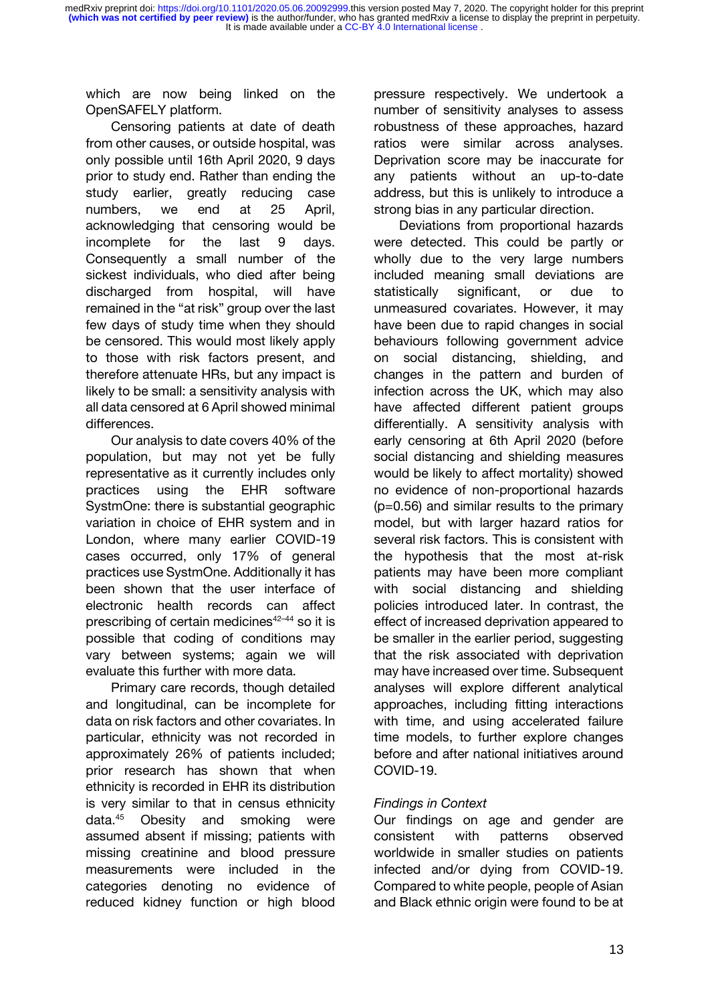which are now being linked on the OpenSAFELY platform.

Censoring patients at date of death from other causes, or outside hospital, was only possible until 16th April 2020, 9 days prior to study end. Rather than ending the study earlier, greatly reducing case numbers, we end at 25 April, acknowledging that censoring would be incomplete for the last 9 days. Consequently a small number of the sickest individuals, who died after being discharged from hospital, will have remained in the "at risk" group over the last few days of study time when they should be censored. This would most likely apply to those with risk factors present, and therefore attenuate HRs, but any impact is likely to be small: a sensitivity analysis with all data censored at 6 April showed minimal differences.

Our analysis to date covers 40% of the population, but may not yet be fully representative as it currently includes only practices using the EHR software SystmOne: there is substantial geographic variation in choice of EHR system and in London, where many earlier COVID-19 cases occurred, only 17% of general practices use SystmOne. Additionally it has been shown that the user interface of electronic health records can affect prescribing of certain medicines $42-44$  $42-44$  so it is possible that coding of conditions may vary between systems; again we will evaluate this further with more data.

Primary care records, though detailed and longitudinal, can be incomplete for data on risk factors and other covariates. In particular, ethnicity was not recorded in approximately 26% of patients included; prior research has shown that when ethnicity is recorded in EHR its distribution is very similar to that in census ethnicity data.[45](https://paperpile.com/c/dFWgNM/hhnB) Obesity and smoking were assumed absent if missing; patients with missing creatinine and blood pressure measurements were included in the categories denoting no evidence of reduced kidney function or high blood pressure respectively. We undertook a number of sensitivity analyses to assess robustness of these approaches, hazard ratios were similar across analyses. Deprivation score may be inaccurate for any patients without an up-to-date address, but this is unlikely to introduce a strong bias in any particular direction.

Deviations from proportional hazards were detected. This could be partly or wholly due to the very large numbers included meaning small deviations are statistically significant, or due to unmeasured covariates. However, it may have been due to rapid changes in social behaviours following government advice on social distancing, shielding, and changes in the pattern and burden of infection across the UK, which may also have affected different patient groups differentially. A sensitivity analysis with early censoring at 6th April 2020 (before social distancing and shielding measures would be likely to affect mortality) showed no evidence of non-proportional hazards (p=0.56) and similar results to the primary model, but with larger hazard ratios for several risk factors. This is consistent with the hypothesis that the most at-risk patients may have been more compliant with social distancing and shielding policies introduced later. In contrast, the effect of increased deprivation appeared to be smaller in the earlier period, suggesting that the risk associated with deprivation may have increased over time. Subsequent analyses will explore different analytical approaches, including fitting interactions with time, and using accelerated failure time models, to further explore changes before and after national initiatives around COVID-19.

# *Findings in Context*

Our findings on age and gender are consistent with patterns observed worldwide in smaller studies on patients infected and/or dying from COVID-19. Compared to white people, people of Asian and Black ethnic origin were found to be at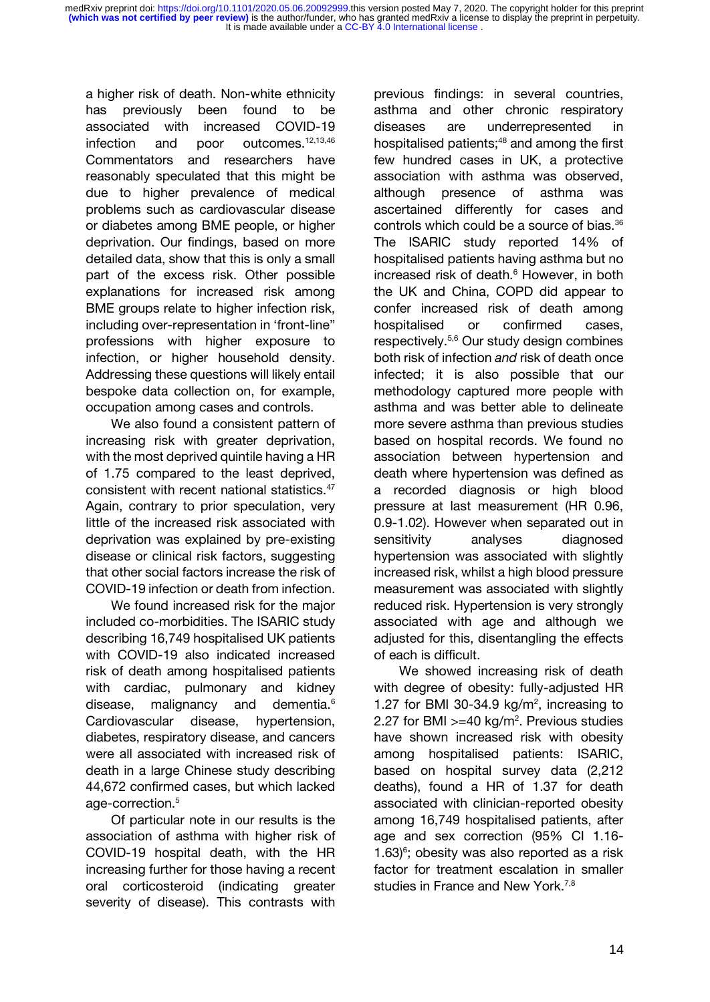a higher risk of death. Non-white ethnicity has previously been found to be associated with increased COVID-19 infection and poor outcomes.<sup>[12,13,46](https://paperpile.com/c/dFWgNM/pQwQ+Wvjw+Xn4C)</sup> Commentators and researchers have reasonably speculated that this might be due to higher prevalence of medical problems such as cardiovascular disease or diabetes among BME people, or higher deprivation. Our findings, based on more detailed data, show that this is only a small part of the excess risk. Other possible explanations for increased risk among BME groups relate to higher infection risk, including over-representation in 'front-line" professions with higher exposure to infection, or higher household density. Addressing these questions will likely entail bespoke data collection on, for example, occupation among cases and controls.

We also found a consistent pattern of increasing risk with greater deprivation, with the most deprived quintile having a HR of 1.75 compared to the least deprived, consistent with recent national statistics.[47](https://paperpile.com/c/dFWgNM/FyDd) Again, contrary to prior speculation, very little of the increased risk associated with deprivation was explained by pre-existing disease or clinical risk factors, suggesting that other social factors increase the risk of COVID-19 infection or death from infection.

We found increased risk for the major included co-morbidities. The ISARIC study describing 16,749 hospitalised UK patients with COVID-19 also indicated increased risk of death among hospitalised patients with cardiac, pulmonary and kidney disease, malignancy and dementia[.](https://paperpile.com/c/dFWgNM/Vj7g)<sup>6</sup> Cardiovascular disease, hypertension, diabetes, respiratory disease, and cancers were all associated with increased risk of death in a large Chinese study describing 44,672 confirmed cases, but which lacked age-correction[.](https://paperpile.com/c/dFWgNM/H2qT)<sup>5</sup>

Of particular note in our results is the association of asthma with higher risk of COVID-19 hospital death, with the HR increasing further for those having a recent oral corticosteroid (indicating greater severity of disease). This contrasts with previous findings: in several countries, asthma and other chronic respiratory diseases are underrepresented in hospitalised patients;<sup>[48](https://paperpile.com/c/dFWgNM/8HuD)</sup> and among the first few hundred cases in UK, a protective association with asthma was observed, although presence of asthma was ascertained differently for cases and controls which could be a source of bias.[36](https://paperpile.com/c/dFWgNM/b7X3) The ISARIC study reported 14% of hospitalised patients having asthma but no increased risk of death.<sup>[6](https://paperpile.com/c/dFWgNM/Vj7g)</sup> However, in both the UK and China, COPD did appear to confer increased risk of death among hospitalised or confirmed cases, respectively.[5,6](https://paperpile.com/c/dFWgNM/H2qT+Vj7g) Our study design combines both risk of infection *and* risk of death once infected; it is also possible that our methodology captured more people with asthma and was better able to delineate more severe asthma than previous studies based on hospital records. We found no association between hypertension and death where hypertension was defined as a recorded diagnosis or high blood pressure at last measurement (HR 0.96, 0.9-1.02). However when separated out in sensitivity analyses diagnosed hypertension was associated with slightly increased risk, whilst a high blood pressure measurement was associated with slightly reduced risk. Hypertension is very strongly associated with age and although we adjusted for this, disentangling the effects of each is difficult.

We showed increasing risk of death with degree of obesity: fully-adjusted HR 1.27 for BMI 30-34.9  $kg/m<sup>2</sup>$ , increasing to 2.27 for BMI  $>=$  40 kg/m<sup>2</sup>. Previous studies have shown increased risk with obesity among hospitalised patients: ISARIC, based on hospital survey data (2,212 deaths), found a HR of 1.37 for death associated with clinician-reported obesity among 16,749 hospitalised patients, after age and sex correction (95% CI 1.16-  $1.63$ <sup>6</sup>; obesity was also reported as a risk factor for treatment escalation in smaller studies in France and New York.<sup>[7,8](https://paperpile.com/c/dFWgNM/SbrJ+tvu2)</sup>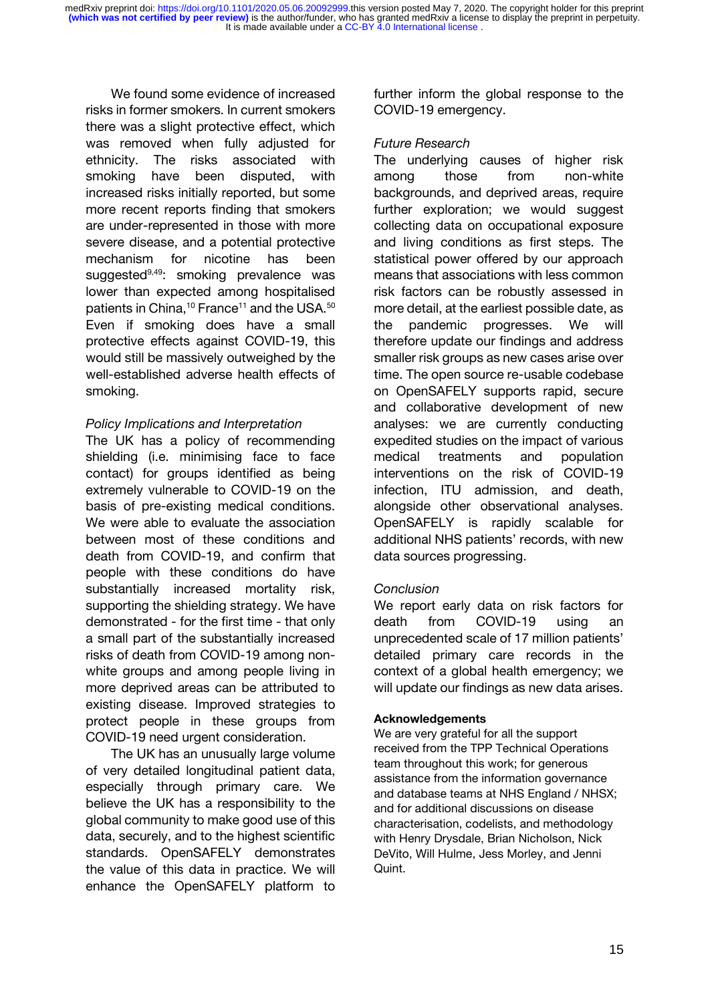We found some evidence of increased risks in former smokers. In current smokers there was a slight protective effect, which was removed when fully adjusted for ethnicity. The risks associated with smoking have been disputed, with increased risks initially reported, but some more recent reports finding that smokers are under-represented in those with more severe disease, and a potential protective mechanism for nicotine has been suggested<sup>[9,49](https://paperpile.com/c/dFWgNM/0Eva+SXHr)</sup>: smoking prevalence was lower than expected among hospitalised patients in China,<sup>[10](https://paperpile.com/c/dFWgNM/Ouzr)</sup> France<sup>[11](https://paperpile.com/c/dFWgNM/YlJK)</sup> and the USA.<sup>[50](https://paperpile.com/c/dFWgNM/zNev)</sup> Even if smoking does have a small protective effects against COVID-19, this would still be massively outweighed by the well-established adverse health effects of smoking.

## *Policy Implications and Interpretation*

The UK has a policy of recommending shielding (i.e. minimising face to face contact) for groups identified as being extremely vulnerable to COVID-19 on the basis of pre-existing medical conditions. We were able to evaluate the association between most of these conditions and death from COVID-19, and confirm that people with these conditions do have substantially increased mortality risk, supporting the shielding strategy. We have demonstrated - for the first time - that only a small part of the substantially increased risks of death from COVID-19 among nonwhite groups and among people living in more deprived areas can be attributed to existing disease. Improved strategies to protect people in these groups from COVID-19 need urgent consideration.

The UK has an unusually large volume of very detailed longitudinal patient data, especially through primary care. We believe the UK has a responsibility to the global community to make good use of this data, securely, and to the highest scientific standards. OpenSAFELY demonstrates the value of this data in practice. We will enhance the OpenSAFELY platform to

further inform the global response to the COVID-19 emergency.

## *Future Research*

The underlying causes of higher risk among those from non-white backgrounds, and deprived areas, require further exploration; we would suggest collecting data on occupational exposure and living conditions as first steps. The statistical power offered by our approach means that associations with less common risk factors can be robustly assessed in more detail, at the earliest possible date, as the pandemic progresses. We will therefore update our findings and address smaller risk groups as new cases arise over time. The open source re-usable codebase on OpenSAFELY supports rapid, secure and collaborative development of new analyses: we are currently conducting expedited studies on the impact of various medical treatments and population interventions on the risk of COVID-19 infection, ITU admission, and death, alongside other observational analyses. OpenSAFELY is rapidly scalable for additional NHS patients' records, with new data sources progressing.

# *Conclusion*

We report early data on risk factors for death from COVID-19 using an unprecedented scale of 17 million patients' detailed primary care records in the context of a global health emergency; we will update our findings as new data arises.

### **Acknowledgements**

We are very grateful for all the support received from the TPP Technical Operations team throughout this work; for generous assistance from the information governance and database teams at NHS England / NHSX; and for additional discussions on disease characterisation, codelists, and methodology with Henry Drysdale, Brian Nicholson, Nick DeVito, Will Hulme, Jess Morley, and Jenni Quint.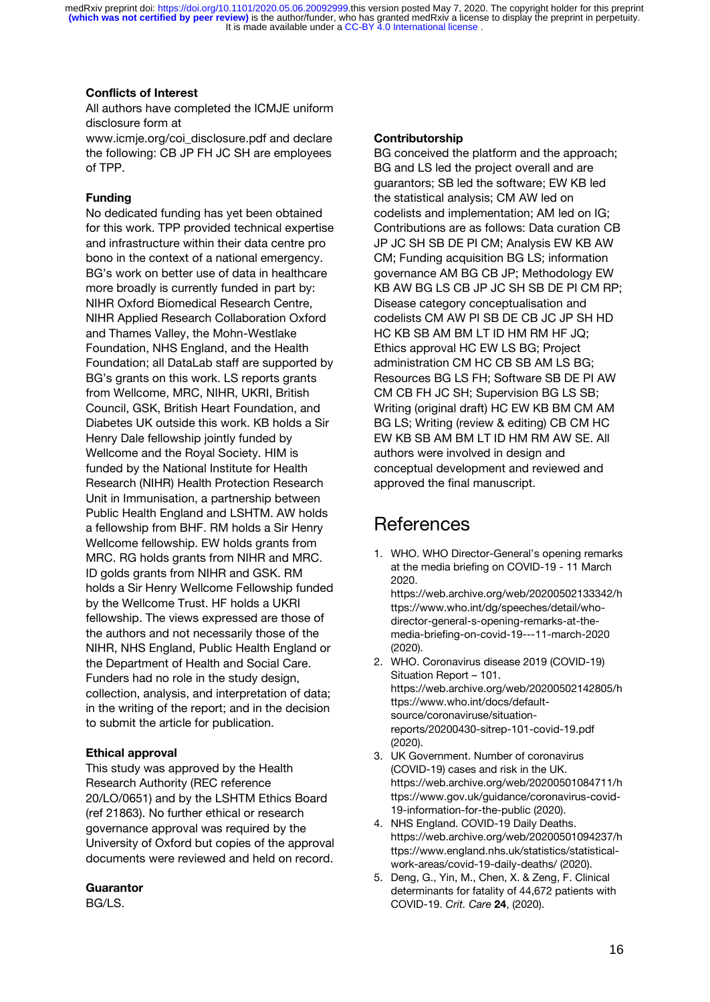#### **Conflicts of Interest**

All authors have completed the ICMJE uniform disclosure form at

www.icmje.org/coi\_disclosure.pdf and declare the following: CB JP FH JC SH are employees of TPP.

#### **Funding**

No dedicated funding has yet been obtained for this work. TPP provided technical expertise and infrastructure within their data centre pro bono in the context of a national emergency. BG's work on better use of data in healthcare more broadly is currently funded in part by: NIHR Oxford Biomedical Research Centre, NIHR Applied Research Collaboration Oxford and Thames Valley, the Mohn-Westlake Foundation, NHS England, and the Health Foundation; all DataLab staff are supported by BG's grants on this work. LS reports grants from Wellcome, MRC, NIHR, UKRI, British Council, GSK, British Heart Foundation, and Diabetes UK outside this work. KB holds a Sir Henry Dale fellowship jointly funded by Wellcome and the Royal Society. HIM is funded by the National Institute for Health Research (NIHR) Health Protection Research Unit in Immunisation, a partnership between Public Health England and LSHTM. AW holds a fellowship from BHF. RM holds a Sir Henry Wellcome fellowship. EW holds grants from MRC. RG holds grants from NIHR and MRC. ID golds grants from NIHR and GSK. RM holds a Sir Henry Wellcome Fellowship funded by the Wellcome Trust. HF holds a UKRI fellowship. The views expressed are those of the authors and not necessarily those of the NIHR, NHS England, Public Health England or the Department of Health and Social Care. Funders had no role in the study design, collection, analysis, and interpretation of data; in the writing of the report; and in the decision to submit the article for publication.

#### **Ethical approval**

This study was approved by the Health Research Authority (REC reference 20/LO/0651) and by the LSHTM Ethics Board (ref 21863). No further ethical or research governance approval was required by the University of Oxford but copies of the approval documents were reviewed and held on record.

#### **Guarantor**

BG/LS.

#### **Contributorship**

BG conceived the platform and the approach; BG and LS led the project overall and are guarantors; SB led the software; EW KB led the statistical analysis; CM AW led on codelists and implementation; AM led on IG; Contributions are as follows: Data curation CB JP JC SH SB DE PI CM; Analysis EW KB AW CM; Funding acquisition BG LS; information governance AM BG CB JP; Methodology EW KB AW BG LS CB JP JC SH SB DE PI CM RP; Disease category conceptualisation and codelists CM AW PI SB DE CB JC JP SH HD HC KB SB AM BM LT ID HM RM HF JQ; Ethics approval HC EW LS BG; Project administration CM HC CB SB AM LS BG; Resources BG LS FH; Software SB DE PI AW CM CB FH JC SH; Supervision BG LS SB; Writing (original draft) HC EW KB BM CM AM BG LS; Writing (review & editing) CB CM HC EW KB SB AM BM LT ID HM RM AW SE. All authors were involved in design and conceptual development and reviewed and approved the final manuscript.

# **References**

1. WHO. WHO Director-[General's opening remarks](http://paperpile.com/b/BEe3ru/h8nik)  [at the media briefing on COVID-19 -](http://paperpile.com/b/BEe3ru/h8nik) 11 March [2020.](http://paperpile.com/b/BEe3ru/h8nik) 

[https://web.archive.org/web/20200502133342/h](https://web.archive.org/web/20200502133342/https:/www.who.int/dg/speeches/detail/who-director-general-s-opening-remarks-at-the-media-briefing-on-covid-19---11-march-2020) [ttps://www.who.int/dg/speeches/detail/who](https://web.archive.org/web/20200502133342/https:/www.who.int/dg/speeches/detail/who-director-general-s-opening-remarks-at-the-media-briefing-on-covid-19---11-march-2020)[director-general-s-opening-remarks-at-the](https://web.archive.org/web/20200502133342/https:/www.who.int/dg/speeches/detail/who-director-general-s-opening-remarks-at-the-media-briefing-on-covid-19---11-march-2020)[media-briefing-on-covid-19---11-march-2020](https://web.archive.org/web/20200502133342/https:/www.who.int/dg/speeches/detail/who-director-general-s-opening-remarks-at-the-media-briefing-on-covid-19---11-march-2020) [\(2020\).](http://paperpile.com/b/BEe3ru/h8nik)

- 2. [WHO. Coronavirus disease 2019 \(COVID-19\)](http://paperpile.com/b/BEe3ru/Mvltm)  [Situation Report](http://paperpile.com/b/BEe3ru/Mvltm) – 101. [https://web.archive.org/web/20200502142805/h](https://web.archive.org/web/20200502142805/https:/www.who.int/docs/default-source/coronaviruse/situation-reports/20200430-sitrep-101-covid-19.pdf) [ttps://www.who.int/docs/default](https://web.archive.org/web/20200502142805/https:/www.who.int/docs/default-source/coronaviruse/situation-reports/20200430-sitrep-101-covid-19.pdf)[source/coronaviruse/situation](https://web.archive.org/web/20200502142805/https:/www.who.int/docs/default-source/coronaviruse/situation-reports/20200430-sitrep-101-covid-19.pdf)[reports/20200430-sitrep-101-covid-19.pdf](https://web.archive.org/web/20200502142805/https:/www.who.int/docs/default-source/coronaviruse/situation-reports/20200430-sitrep-101-covid-19.pdf) [\(2020\).](http://paperpile.com/b/BEe3ru/Mvltm)
- 3. [UK Government. Number of coronavirus](http://paperpile.com/b/BEe3ru/K3kVD)  [\(COVID-19\) cases and risk in the UK.](http://paperpile.com/b/BEe3ru/K3kVD)  [https://web.archive.org/web/20200501084711/h](https://web.archive.org/web/20200501084711/https:/www.gov.uk/guidance/coronavirus-covid-19-information-for-the-public) [ttps://www.gov.uk/guidance/coronavirus-covid-](https://web.archive.org/web/20200501084711/https:/www.gov.uk/guidance/coronavirus-covid-19-information-for-the-public)[19-information-for-the-public](https://web.archive.org/web/20200501084711/https:/www.gov.uk/guidance/coronavirus-covid-19-information-for-the-public) [\(2020\).](http://paperpile.com/b/BEe3ru/K3kVD)
- 4. [NHS England. COVID-19 Daily Deaths.](http://paperpile.com/b/BEe3ru/N5Bbb)  [https://web.archive.org/web/20200501094237/h](https://web.archive.org/web/20200501094237/https:/www.england.nhs.uk/statistics/statistical-work-areas/covid-19-daily-deaths/) [ttps://www.england.nhs.uk/statistics/statistical](https://web.archive.org/web/20200501094237/https:/www.england.nhs.uk/statistics/statistical-work-areas/covid-19-daily-deaths/)[work-areas/covid-19-daily-deaths/](https://web.archive.org/web/20200501094237/https:/www.england.nhs.uk/statistics/statistical-work-areas/covid-19-daily-deaths/) [\(2020\).](http://paperpile.com/b/BEe3ru/N5Bbb)
- 5. [Deng, G., Yin, M., Chen, X. & Zeng, F. Clinical](http://paperpile.com/b/BEe3ru/r0bo3)  [determinants for fatality of 44,672 patients with](http://paperpile.com/b/BEe3ru/r0bo3)  [COVID-19.](http://paperpile.com/b/BEe3ru/r0bo3) *[Crit. Care](http://paperpile.com/b/BEe3ru/r0bo3)* **[24](http://paperpile.com/b/BEe3ru/r0bo3)**[, \(2020\).](http://paperpile.com/b/BEe3ru/r0bo3)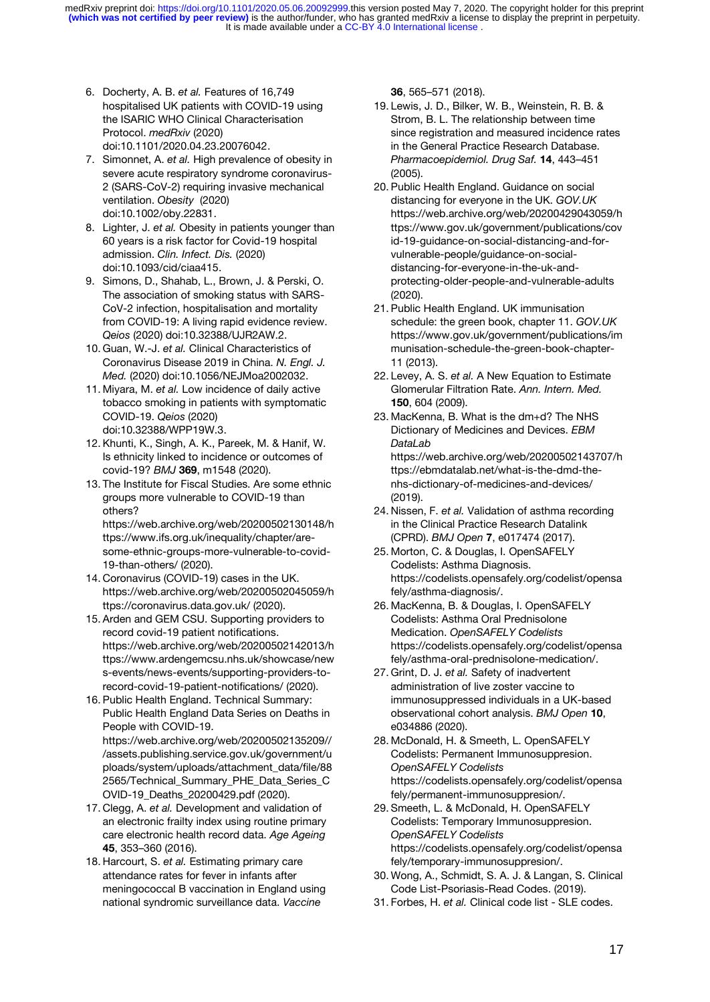- 6. [Docherty, A. B.](http://paperpile.com/b/BEe3ru/52FPL) *[et al.](http://paperpile.com/b/BEe3ru/52FPL)* [Features of 16,749](http://paperpile.com/b/BEe3ru/52FPL)  [hospitalised UK patients with COVID-19 using](http://paperpile.com/b/BEe3ru/52FPL)  [the ISARIC WHO Clinical Characterisation](http://paperpile.com/b/BEe3ru/52FPL)  [Protocol.](http://paperpile.com/b/BEe3ru/52FPL) *[medRxiv](http://paperpile.com/b/BEe3ru/52FPL)* [\(2020\)](http://paperpile.com/b/BEe3ru/52FPL)  [doi:](http://paperpile.com/b/BEe3ru/52FPL)[10.1101/2020.04.23.20076042](http://dx.doi.org/10.1101/2020.04.23.20076042)[.](http://paperpile.com/b/BEe3ru/52FPL)
- 7. [Simonnet, A.](http://paperpile.com/b/BEe3ru/WMx9l) *[et al.](http://paperpile.com/b/BEe3ru/WMx9l)* [High prevalence of obesity in](http://paperpile.com/b/BEe3ru/WMx9l)  [severe acute respiratory syndrome coronavirus-](http://paperpile.com/b/BEe3ru/WMx9l)[2 \(SARS-CoV-2\) requiring invasive mechanical](http://paperpile.com/b/BEe3ru/WMx9l)  [ventilation.](http://paperpile.com/b/BEe3ru/WMx9l) *[Obesity](http://paperpile.com/b/BEe3ru/WMx9l)* [\(2020\)](http://paperpile.com/b/BEe3ru/WMx9l)  [doi:](http://paperpile.com/b/BEe3ru/WMx9l)[10.1002/oby.22831](http://dx.doi.org/10.1002/oby.22831)[.](http://paperpile.com/b/BEe3ru/WMx9l)
- 8. [Lighter, J.](http://paperpile.com/b/BEe3ru/wcpKb) *[et al.](http://paperpile.com/b/BEe3ru/wcpKb)* [Obesity in patients younger than](http://paperpile.com/b/BEe3ru/wcpKb)  [60 years is a risk factor for Covid-19 hospital](http://paperpile.com/b/BEe3ru/wcpKb)  [admission.](http://paperpile.com/b/BEe3ru/wcpKb) *[Clin. Infect. Dis.](http://paperpile.com/b/BEe3ru/wcpKb)* [\(2020\)](http://paperpile.com/b/BEe3ru/wcpKb)  [doi:](http://paperpile.com/b/BEe3ru/wcpKb)[10.1093/cid/ciaa415](http://dx.doi.org/10.1093/cid/ciaa415)[.](http://paperpile.com/b/BEe3ru/wcpKb)
- 9. [Simons, D., Shahab, L., Brown, J. & Perski, O.](http://paperpile.com/b/BEe3ru/ZyXSD)  [The association of smoking status with SARS-](http://paperpile.com/b/BEe3ru/ZyXSD)[CoV-2 infection, hospitalisation and mortality](http://paperpile.com/b/BEe3ru/ZyXSD)  [from COVID-19: A living rapid evidence review.](http://paperpile.com/b/BEe3ru/ZyXSD)  *[Qeios](http://paperpile.com/b/BEe3ru/ZyXSD)* [\(2020\) doi:](http://paperpile.com/b/BEe3ru/ZyXSD)[10.32388/UJR2AW.2](http://dx.doi.org/10.32388/UJR2AW.2)[.](http://paperpile.com/b/BEe3ru/ZyXSD)
- 10. [Guan, W.-J.](http://paperpile.com/b/BEe3ru/YUaPr) *[et al.](http://paperpile.com/b/BEe3ru/YUaPr)* [Clinical Characteristics of](http://paperpile.com/b/BEe3ru/YUaPr)  [Coronavirus Disease 2019 in China.](http://paperpile.com/b/BEe3ru/YUaPr) *[N. Engl. J.](http://paperpile.com/b/BEe3ru/YUaPr)  [Med.](http://paperpile.com/b/BEe3ru/YUaPr)* [\(2020\) doi:](http://paperpile.com/b/BEe3ru/YUaPr)[10.1056/NEJMoa2002032.](http://dx.doi.org/10.1056/NEJMoa2002032)
- 11. [Miyara, M.](http://paperpile.com/b/BEe3ru/p82Yq) *[et al.](http://paperpile.com/b/BEe3ru/p82Yq)* [Low incidence of daily active](http://paperpile.com/b/BEe3ru/p82Yq)  [tobacco smoking in patients with symptomatic](http://paperpile.com/b/BEe3ru/p82Yq)  [COVID-19.](http://paperpile.com/b/BEe3ru/p82Yq) *[Qeios](http://paperpile.com/b/BEe3ru/p82Yq)* [\(2020\)](http://paperpile.com/b/BEe3ru/p82Yq)  [doi:](http://paperpile.com/b/BEe3ru/p82Yq)[10.32388/WPP19W.3](http://dx.doi.org/10.32388/WPP19W.3)[.](http://paperpile.com/b/BEe3ru/p82Yq)
- 12. [Khunti, K., Singh, A. K., Pareek, M. & Hanif, W.](http://paperpile.com/b/BEe3ru/VYTMu)  [Is ethnicity linked to incidence or outcomes of](http://paperpile.com/b/BEe3ru/VYTMu)  [covid-19?](http://paperpile.com/b/BEe3ru/VYTMu) *[BMJ](http://paperpile.com/b/BEe3ru/VYTMu)* **[369](http://paperpile.com/b/BEe3ru/VYTMu)**[, m1548 \(2020\).](http://paperpile.com/b/BEe3ru/VYTMu)
- 13. [The Institute for Fiscal Studies. Are some ethnic](http://paperpile.com/b/BEe3ru/45uoV)  [groups more vulnerable to COVID-19 than](http://paperpile.com/b/BEe3ru/45uoV)  [others?](http://paperpile.com/b/BEe3ru/45uoV)  [https://web.archive.org/web/20200502130148/h](https://web.archive.org/web/20200502130148/https:/www.ifs.org.uk/inequality/chapter/are-some-ethnic-groups-more-vulnerable-to-covid-19-than-others/)

[ttps://www.ifs.org.uk/inequality/chapter/are](https://web.archive.org/web/20200502130148/https:/www.ifs.org.uk/inequality/chapter/are-some-ethnic-groups-more-vulnerable-to-covid-19-than-others/)[some-ethnic-groups-more-vulnerable-to-covid-](https://web.archive.org/web/20200502130148/https:/www.ifs.org.uk/inequality/chapter/are-some-ethnic-groups-more-vulnerable-to-covid-19-than-others/)[19-than-others/](https://web.archive.org/web/20200502130148/https:/www.ifs.org.uk/inequality/chapter/are-some-ethnic-groups-more-vulnerable-to-covid-19-than-others/) [\(2020\).](http://paperpile.com/b/BEe3ru/45uoV)

- 14. [Coronavirus \(COVID-19\) cases in the UK.](http://paperpile.com/b/BEe3ru/8prFT)  [https://web.archive.org/web/20200502045059/h](https://web.archive.org/web/20200502045059/https:/coronavirus.data.gov.uk/) [ttps://coronavirus.data.gov.uk/](https://web.archive.org/web/20200502045059/https:/coronavirus.data.gov.uk/) [\(2020\).](http://paperpile.com/b/BEe3ru/8prFT)
- 15. [Arden and GEM CSU. Supporting providers to](http://paperpile.com/b/BEe3ru/Nlg52)  [record covid-19 patient notifications.](http://paperpile.com/b/BEe3ru/Nlg52)  [https://web.archive.org/web/20200502142013/h](https://web.archive.org/web/20200502142013/https:/www.ardengemcsu.nhs.uk/showcase/news-events/news-events/supporting-providers-to-record-covid-19-patient-notifications/) [ttps://www.ardengemcsu.nhs.uk/showcase/new](https://web.archive.org/web/20200502142013/https:/www.ardengemcsu.nhs.uk/showcase/news-events/news-events/supporting-providers-to-record-covid-19-patient-notifications/) [s-events/news-events/supporting-providers-to](https://web.archive.org/web/20200502142013/https:/www.ardengemcsu.nhs.uk/showcase/news-events/news-events/supporting-providers-to-record-covid-19-patient-notifications/)[record-covid-19-patient-notifications/](https://web.archive.org/web/20200502142013/https:/www.ardengemcsu.nhs.uk/showcase/news-events/news-events/supporting-providers-to-record-covid-19-patient-notifications/) [\(2020\).](http://paperpile.com/b/BEe3ru/Nlg52)
- 16. [Public Health England. Technical Summary:](http://paperpile.com/b/BEe3ru/UNSoV)  [Public Health England Data Series on Deaths in](http://paperpile.com/b/BEe3ru/UNSoV)  [People with COVID-19.](http://paperpile.com/b/BEe3ru/UNSoV)  [https://web.archive.org/web/20200502135209//](https://web.archive.org/web/20200502135209/assets.publishing.service.gov.uk/government/uploads/system/uploads/attachment_data/file/882565/Technical_Summary_PHE_Data_Series_COVID-19_Deaths_20200429.pdf) [/assets.publishing.service.gov.uk/government/u](https://web.archive.org/web/20200502135209/assets.publishing.service.gov.uk/government/uploads/system/uploads/attachment_data/file/882565/Technical_Summary_PHE_Data_Series_COVID-19_Deaths_20200429.pdf) [ploads/system/uploads/attachment\\_data/file/88](https://web.archive.org/web/20200502135209/assets.publishing.service.gov.uk/government/uploads/system/uploads/attachment_data/file/882565/Technical_Summary_PHE_Data_Series_COVID-19_Deaths_20200429.pdf) [2565/Technical\\_Summary\\_PHE\\_Data\\_Series\\_C](https://web.archive.org/web/20200502135209/assets.publishing.service.gov.uk/government/uploads/system/uploads/attachment_data/file/882565/Technical_Summary_PHE_Data_Series_COVID-19_Deaths_20200429.pdf) [OVID-19\\_Deaths\\_20200429.pdf](https://web.archive.org/web/20200502135209/assets.publishing.service.gov.uk/government/uploads/system/uploads/attachment_data/file/882565/Technical_Summary_PHE_Data_Series_COVID-19_Deaths_20200429.pdf) [\(2020\).](http://paperpile.com/b/BEe3ru/UNSoV)
- 17. [Clegg,](http://paperpile.com/b/BEe3ru/S8eNF) A. *[et al.](http://paperpile.com/b/BEe3ru/S8eNF)* [Development and validation of](http://paperpile.com/b/BEe3ru/S8eNF)  [an electronic frailty index using routine primary](http://paperpile.com/b/BEe3ru/S8eNF)  [care electronic health record data.](http://paperpile.com/b/BEe3ru/S8eNF) *[Age Ageing](http://paperpile.com/b/BEe3ru/S8eNF)* **[45](http://paperpile.com/b/BEe3ru/S8eNF)**, 353–[360 \(2016\).](http://paperpile.com/b/BEe3ru/S8eNF)
- 18. [Harcourt, S.](http://paperpile.com/b/BEe3ru/9srGc) *[et al.](http://paperpile.com/b/BEe3ru/9srGc)* [Estimating primary care](http://paperpile.com/b/BEe3ru/9srGc)  [attendance rates for fever in infants after](http://paperpile.com/b/BEe3ru/9srGc)  [meningococcal B vaccination in England using](http://paperpile.com/b/BEe3ru/9srGc)  national [syndromic surveillance data.](http://paperpile.com/b/BEe3ru/9srGc) *[Vaccine](http://paperpile.com/b/BEe3ru/9srGc)*

**[36](http://paperpile.com/b/BEe3ru/9srGc)**, 565–[571 \(2018\).](http://paperpile.com/b/BEe3ru/9srGc)

- 19. [Lewis, J. D., Bilker, W. B., Weinstein, R. B. &](http://paperpile.com/b/BEe3ru/6z9Fm)  [Strom, B. L. The relationship between time](http://paperpile.com/b/BEe3ru/6z9Fm)  [since registration and measured incidence rates](http://paperpile.com/b/BEe3ru/6z9Fm)  [in the General Practice Research Database.](http://paperpile.com/b/BEe3ru/6z9Fm)  *[Pharmacoepidemiol. Drug Saf.](http://paperpile.com/b/BEe3ru/6z9Fm)* **[14](http://paperpile.com/b/BEe3ru/6z9Fm)**[, 443](http://paperpile.com/b/BEe3ru/6z9Fm)–451 [\(2005\).](http://paperpile.com/b/BEe3ru/6z9Fm)
- 20. [Public Health England. Guidance on social](http://paperpile.com/b/BEe3ru/jNcnM)  [distancing for everyone in the UK.](http://paperpile.com/b/BEe3ru/jNcnM) *[GOV.UK](http://paperpile.com/b/BEe3ru/jNcnM)* [https://web.archive.org/web/20200429043059/h](https://web.archive.org/web/20200429043059/https:/www.gov.uk/government/publications/covid-19-guidance-on-social-distancing-and-for-vulnerable-people/guidance-on-social-distancing-for-everyone-in-the-uk-and-protecting-older-people-and-vulnerable-adults) [ttps://www.gov.uk/government/publications/cov](https://web.archive.org/web/20200429043059/https:/www.gov.uk/government/publications/covid-19-guidance-on-social-distancing-and-for-vulnerable-people/guidance-on-social-distancing-for-everyone-in-the-uk-and-protecting-older-people-and-vulnerable-adults) [id-19-guidance-on-social-distancing-and-for](https://web.archive.org/web/20200429043059/https:/www.gov.uk/government/publications/covid-19-guidance-on-social-distancing-and-for-vulnerable-people/guidance-on-social-distancing-for-everyone-in-the-uk-and-protecting-older-people-and-vulnerable-adults)[vulnerable-people/guidance-on-social](https://web.archive.org/web/20200429043059/https:/www.gov.uk/government/publications/covid-19-guidance-on-social-distancing-and-for-vulnerable-people/guidance-on-social-distancing-for-everyone-in-the-uk-and-protecting-older-people-and-vulnerable-adults)[distancing-for-everyone-in-the-uk-and](https://web.archive.org/web/20200429043059/https:/www.gov.uk/government/publications/covid-19-guidance-on-social-distancing-and-for-vulnerable-people/guidance-on-social-distancing-for-everyone-in-the-uk-and-protecting-older-people-and-vulnerable-adults)[protecting-older-people-and-vulnerable-adults](https://web.archive.org/web/20200429043059/https:/www.gov.uk/government/publications/covid-19-guidance-on-social-distancing-and-for-vulnerable-people/guidance-on-social-distancing-for-everyone-in-the-uk-and-protecting-older-people-and-vulnerable-adults) [\(2020\).](http://paperpile.com/b/BEe3ru/jNcnM)
- 21. [Public Health England. UK immunisation](http://paperpile.com/b/BEe3ru/PUCpa)  [schedule: the green book, chapter 11.](http://paperpile.com/b/BEe3ru/PUCpa) *[GOV.UK](http://paperpile.com/b/BEe3ru/PUCpa)* [https://www.gov.uk/government/publications/im](https://www.gov.uk/government/publications/immunisation-schedule-the-green-book-chapter-11) [munisation-schedule-the-green-book-chapter-](https://www.gov.uk/government/publications/immunisation-schedule-the-green-book-chapter-11)[11](https://www.gov.uk/government/publications/immunisation-schedule-the-green-book-chapter-11) [\(2013\).](http://paperpile.com/b/BEe3ru/PUCpa)
- 22. [Levey, A. S.](http://paperpile.com/b/BEe3ru/e1a95) *[et al.](http://paperpile.com/b/BEe3ru/e1a95)* [A New Equation to Estimate](http://paperpile.com/b/BEe3ru/e1a95)  [Glomerular Filtration Rate.](http://paperpile.com/b/BEe3ru/e1a95) *[Ann. Intern. Med.](http://paperpile.com/b/BEe3ru/e1a95)* **[150](http://paperpile.com/b/BEe3ru/e1a95)**[, 604 \(2009\).](http://paperpile.com/b/BEe3ru/e1a95)
- 23. [MacKenna, B. What is the dm+d? The NHS](http://paperpile.com/b/BEe3ru/zGUvr)  [Dictionary of Medicines and Devices.](http://paperpile.com/b/BEe3ru/zGUvr) *[EBM](http://paperpile.com/b/BEe3ru/zGUvr)  [DataLab](http://paperpile.com/b/BEe3ru/zGUvr)* [https://web.archive.org/web/20200502143707/h](https://web.archive.org/web/20200502143707/https:/ebmdatalab.net/what-is-the-dmd-the-nhs-dictionary-of-medicines-and-devices/) [ttps://ebmdatalab.net/what-is-the-dmd-the](https://web.archive.org/web/20200502143707/https:/ebmdatalab.net/what-is-the-dmd-the-nhs-dictionary-of-medicines-and-devices/)[nhs-dictionary-of-medicines-and-devices/](https://web.archive.org/web/20200502143707/https:/ebmdatalab.net/what-is-the-dmd-the-nhs-dictionary-of-medicines-and-devices/) [\(2019\).](http://paperpile.com/b/BEe3ru/zGUvr)
- 24. [Nissen, F.](http://paperpile.com/b/BEe3ru/zmblI) *[et al.](http://paperpile.com/b/BEe3ru/zmblI)* [Validation of asthma recording](http://paperpile.com/b/BEe3ru/zmblI)  [in the Clinical Practice Research Datalink](http://paperpile.com/b/BEe3ru/zmblI)  [\(CPRD\).](http://paperpile.com/b/BEe3ru/zmblI) *[BMJ Open](http://paperpile.com/b/BEe3ru/zmblI)* **[7](http://paperpile.com/b/BEe3ru/zmblI)**[, e017474 \(2017\).](http://paperpile.com/b/BEe3ru/zmblI)
- 25. [Morton, C. & Douglas, I.](http://paperpile.com/b/BEe3ru/vgwrV) OpenSAFELY [Codelists: Asthma Diagnosis.](http://paperpile.com/b/BEe3ru/vgwrV)  [https://codelists.opensafely.org/codelist/opensa](https://codelists.opensafely.org/codelist/opensafely/asthma-diagnosis/) [fely/asthma-diagnosis/](https://codelists.opensafely.org/codelist/opensafely/asthma-diagnosis/)[.](http://paperpile.com/b/BEe3ru/vgwrV)
- 26. [MacKenna, B. & Douglas, I. OpenSAFELY](http://paperpile.com/b/BEe3ru/Wx13z)  [Codelists: Asthma Oral Prednisolone](http://paperpile.com/b/BEe3ru/Wx13z)  [Medication.](http://paperpile.com/b/BEe3ru/Wx13z) *[OpenSAFELY Codelists](http://paperpile.com/b/BEe3ru/Wx13z)* [https://codelists.opensafely.org/codelist/opensa](https://codelists.opensafely.org/codelist/opensafely/asthma-oral-prednisolone-medication/) [fely/asthma-oral-prednisolone-medication/](https://codelists.opensafely.org/codelist/opensafely/asthma-oral-prednisolone-medication/)[.](http://paperpile.com/b/BEe3ru/Wx13z)
- 27. [Grint, D. J.](http://paperpile.com/b/BEe3ru/dZDsh) *[et al.](http://paperpile.com/b/BEe3ru/dZDsh)* [Safety of inadvertent](http://paperpile.com/b/BEe3ru/dZDsh)  [administration of live zoster vaccine to](http://paperpile.com/b/BEe3ru/dZDsh)  [immunosuppressed individuals in a UK-based](http://paperpile.com/b/BEe3ru/dZDsh)  [observational cohort analysis.](http://paperpile.com/b/BEe3ru/dZDsh) *[BMJ Open](http://paperpile.com/b/BEe3ru/dZDsh)* **[10](http://paperpile.com/b/BEe3ru/dZDsh)**[,](http://paperpile.com/b/BEe3ru/dZDsh)  [e034886 \(2020\).](http://paperpile.com/b/BEe3ru/dZDsh)
- 28. [McDonald, H. & Smeeth, L. OpenSAFELY](http://paperpile.com/b/BEe3ru/kBzMI)  [Codelists: Permanent Immunosuppresion.](http://paperpile.com/b/BEe3ru/kBzMI)  *[OpenSAFELY Codelists](http://paperpile.com/b/BEe3ru/kBzMI)* [https://codelists.opensafely.org/codelist/opensa](https://codelists.opensafely.org/codelist/opensafely/permanent-immunosuppresion/) [fely/permanent-immunosuppresion/](https://codelists.opensafely.org/codelist/opensafely/permanent-immunosuppresion/)[.](http://paperpile.com/b/BEe3ru/kBzMI)
- 29. [Smeeth, L. & McDonald,](http://paperpile.com/b/BEe3ru/fyMxe) H. OpenSAFELY [Codelists: Temporary Immunosuppresion.](http://paperpile.com/b/BEe3ru/fyMxe)  *[OpenSAFELY Codelists](http://paperpile.com/b/BEe3ru/fyMxe)* [https://codelists.opensafely.org/codelist/opensa](https://codelists.opensafely.org/codelist/opensafely/temporary-immunosuppresion/) [fely/temporary-immunosuppresion/](https://codelists.opensafely.org/codelist/opensafely/temporary-immunosuppresion/)[.](http://paperpile.com/b/BEe3ru/fyMxe)
- 30. [Wong, A., Schmidt, S. A. J. & Langan, S. Clinical](http://paperpile.com/b/BEe3ru/Eem2Z)  [Code List-Psoriasis-Read Codes. \(2019\).](http://paperpile.com/b/BEe3ru/Eem2Z)
- 31. [Forbes, H.](http://paperpile.com/b/BEe3ru/L2Rjb) *[et al.](http://paperpile.com/b/BEe3ru/L2Rjb)* [Clinical code list -](http://paperpile.com/b/BEe3ru/L2Rjb) SLE codes.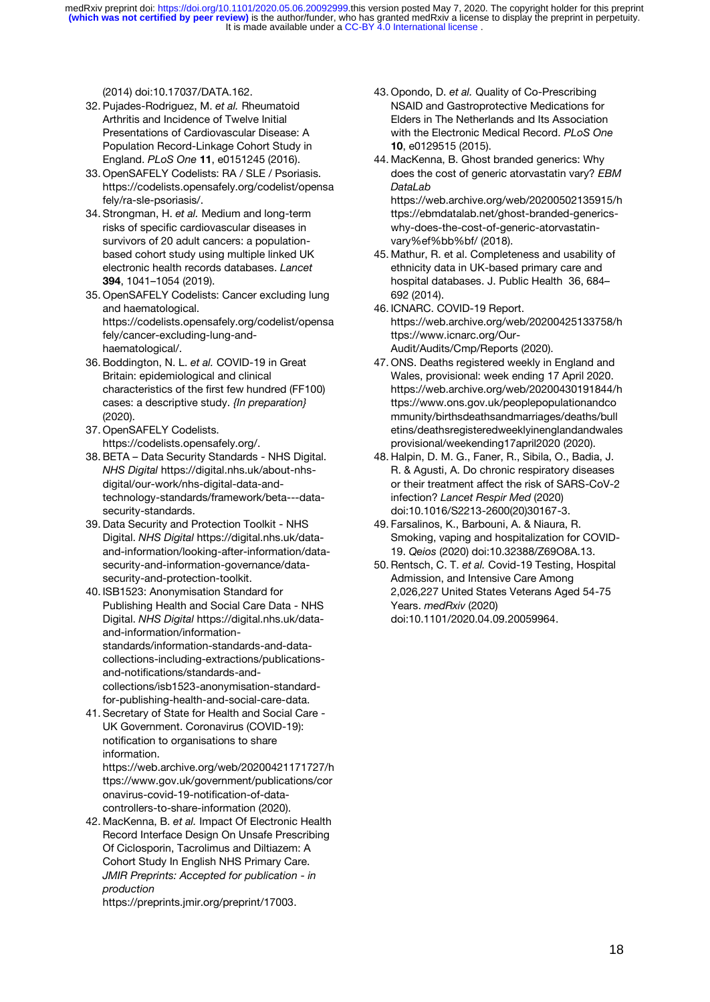[\(2014\) doi:](http://paperpile.com/b/BEe3ru/L2Rjb)[10.17037/DATA.162](http://dx.doi.org/10.17037/DATA.162)[.](http://paperpile.com/b/BEe3ru/L2Rjb)

- 32. [Pujades-Rodriguez, M.](http://paperpile.com/b/BEe3ru/a6bV9) *[et al.](http://paperpile.com/b/BEe3ru/a6bV9)* [Rheumatoid](http://paperpile.com/b/BEe3ru/a6bV9)  [Arthritis and Incidence of Twelve Initial](http://paperpile.com/b/BEe3ru/a6bV9)  [Presentations of Cardiovascular Disease: A](http://paperpile.com/b/BEe3ru/a6bV9)  [Population Record-Linkage Cohort Study in](http://paperpile.com/b/BEe3ru/a6bV9)  [England.](http://paperpile.com/b/BEe3ru/a6bV9) *[PLoS One](http://paperpile.com/b/BEe3ru/a6bV9)* **[11](http://paperpile.com/b/BEe3ru/a6bV9)**[, e0151245 \(2016\).](http://paperpile.com/b/BEe3ru/a6bV9)
- 33. [OpenSAFELY Codelists: RA / SLE / Psoriasis.](http://paperpile.com/b/BEe3ru/ElLKV)  [https://codelists.opensafely.org/codelist/opensa](https://codelists.opensafely.org/codelist/opensafely/ra-sle-psoriasis/) [fely/ra-sle-psoriasis/](https://codelists.opensafely.org/codelist/opensafely/ra-sle-psoriasis/)[.](http://paperpile.com/b/BEe3ru/ElLKV)
- 34. [Strongman, H.](http://paperpile.com/b/BEe3ru/iIjTQ) *[et al.](http://paperpile.com/b/BEe3ru/iIjTQ)* [Medium and long-term](http://paperpile.com/b/BEe3ru/iIjTQ)  [risks of specific cardiovascular diseases in](http://paperpile.com/b/BEe3ru/iIjTQ)  [survivors of 20 adult cancers: a population](http://paperpile.com/b/BEe3ru/iIjTQ)[based cohort study using multiple linked UK](http://paperpile.com/b/BEe3ru/iIjTQ)  [electronic health records databases.](http://paperpile.com/b/BEe3ru/iIjTQ) *[Lancet](http://paperpile.com/b/BEe3ru/iIjTQ)* **[394](http://paperpile.com/b/BEe3ru/iIjTQ)**, 1041–[1054 \(2019\).](http://paperpile.com/b/BEe3ru/iIjTQ)
- 35. [OpenSAFELY Codelists: Cancer excluding lung](http://paperpile.com/b/BEe3ru/MEDKG)  [and haematological.](http://paperpile.com/b/BEe3ru/MEDKG)  [https://codelists.opensafely.org/codelist/opensa](https://codelists.opensafely.org/codelist/opensafely/cancer-excluding-lung-and-haematological/) [fely/cancer-excluding-lung-and](https://codelists.opensafely.org/codelist/opensafely/cancer-excluding-lung-and-haematological/)[haematological/.](https://codelists.opensafely.org/codelist/opensafely/cancer-excluding-lung-and-haematological/)
- 36. [Boddington, N. L.](http://paperpile.com/b/BEe3ru/JYRNR) *[et al.](http://paperpile.com/b/BEe3ru/JYRNR)* [COVID-19 in Great](http://paperpile.com/b/BEe3ru/JYRNR)  [Britain: epidemiological and clinical](http://paperpile.com/b/BEe3ru/JYRNR) [characteristics of the first few hundred \(FF100\)](http://paperpile.com/b/BEe3ru/JYRNR)  [cases: a descriptive study.](http://paperpile.com/b/BEe3ru/JYRNR) *[{In preparation}](http://paperpile.com/b/BEe3ru/JYRNR)* [\(2020\).](http://paperpile.com/b/BEe3ru/JYRNR)
- 37. [OpenSAFELY Codelists.](http://paperpile.com/b/BEe3ru/9WbcK)  <https://codelists.opensafely.org/>[.](http://paperpile.com/b/BEe3ru/9WbcK)
- 38. BETA [Data Security Standards -](http://paperpile.com/b/BEe3ru/dAizC) NHS Digital. *[NHS Digital](http://paperpile.com/b/BEe3ru/dAizC)* [https://digital.nhs.uk/about-nhs](https://digital.nhs.uk/about-nhs-digital/our-work/nhs-digital-data-and-technology-standards/framework/beta---data-security-standards)[digital/our-work/nhs-digital-data-and](https://digital.nhs.uk/about-nhs-digital/our-work/nhs-digital-data-and-technology-standards/framework/beta---data-security-standards)[technology-standards/framework/beta---data](https://digital.nhs.uk/about-nhs-digital/our-work/nhs-digital-data-and-technology-standards/framework/beta---data-security-standards)[security-standards.](https://digital.nhs.uk/about-nhs-digital/our-work/nhs-digital-data-and-technology-standards/framework/beta---data-security-standards)
- 39. [Data Security and Protection Toolkit -](http://paperpile.com/b/BEe3ru/Avqum) NHS [Digital.](http://paperpile.com/b/BEe3ru/Avqum) *[NHS Digital](http://paperpile.com/b/BEe3ru/Avqum)* [https://digital.nhs.uk/data](https://digital.nhs.uk/data-and-information/looking-after-information/data-security-and-information-governance/data-security-and-protection-toolkit)[and-information/looking-after-information/data](https://digital.nhs.uk/data-and-information/looking-after-information/data-security-and-information-governance/data-security-and-protection-toolkit)[security-and-information-governance/data](https://digital.nhs.uk/data-and-information/looking-after-information/data-security-and-information-governance/data-security-and-protection-toolkit)[security-and-protection-toolkit](https://digital.nhs.uk/data-and-information/looking-after-information/data-security-and-information-governance/data-security-and-protection-toolkit)[.](http://paperpile.com/b/BEe3ru/Avqum)
- 40. [ISB1523: Anonymisation Standard for](http://paperpile.com/b/BEe3ru/E7NQq)  [Publishing Health and Social Care Data -](http://paperpile.com/b/BEe3ru/E7NQq) NHS [Digital.](http://paperpile.com/b/BEe3ru/E7NQq) *[NHS Digital](http://paperpile.com/b/BEe3ru/E7NQq)* [https://digital.nhs.uk/data](https://digital.nhs.uk/data-and-information/information-standards/information-standards-and-data-collections-including-extractions/publications-and-notifications/standards-and-collections/isb1523-anonymisation-standard-for-publishing-health-and-social-care-data)[and-information/information](https://digital.nhs.uk/data-and-information/information-standards/information-standards-and-data-collections-including-extractions/publications-and-notifications/standards-and-collections/isb1523-anonymisation-standard-for-publishing-health-and-social-care-data)[standards/information-standards-and-data](https://digital.nhs.uk/data-and-information/information-standards/information-standards-and-data-collections-including-extractions/publications-and-notifications/standards-and-collections/isb1523-anonymisation-standard-for-publishing-health-and-social-care-data)[collections-including-extractions/publications](https://digital.nhs.uk/data-and-information/information-standards/information-standards-and-data-collections-including-extractions/publications-and-notifications/standards-and-collections/isb1523-anonymisation-standard-for-publishing-health-and-social-care-data)[and-notifications/standards-and](https://digital.nhs.uk/data-and-information/information-standards/information-standards-and-data-collections-including-extractions/publications-and-notifications/standards-and-collections/isb1523-anonymisation-standard-for-publishing-health-and-social-care-data)[collections/isb1523-anonymisation-standard](https://digital.nhs.uk/data-and-information/information-standards/information-standards-and-data-collections-including-extractions/publications-and-notifications/standards-and-collections/isb1523-anonymisation-standard-for-publishing-health-and-social-care-data)[for-publishing-health-and-social-care-data](https://digital.nhs.uk/data-and-information/information-standards/information-standards-and-data-collections-including-extractions/publications-and-notifications/standards-and-collections/isb1523-anonymisation-standard-for-publishing-health-and-social-care-data)[.](http://paperpile.com/b/BEe3ru/E7NQq)
- 41. Secretary [of State for Health and Social Care -](http://paperpile.com/b/BEe3ru/OPc6n) [UK Government. Coronavirus \(COVID-19\):](http://paperpile.com/b/BEe3ru/OPc6n)  [notification to organisations to share](http://paperpile.com/b/BEe3ru/OPc6n)  [information.](http://paperpile.com/b/BEe3ru/OPc6n)

[https://web.archive.org/web/20200421171727/h](https://web.archive.org/web/20200421171727/https:/www.gov.uk/government/publications/coronavirus-covid-19-notification-of-data-controllers-to-share-information) [ttps://www.gov.uk/government/publications/cor](https://web.archive.org/web/20200421171727/https:/www.gov.uk/government/publications/coronavirus-covid-19-notification-of-data-controllers-to-share-information) [onavirus-covid-19-notification-of-data](https://web.archive.org/web/20200421171727/https:/www.gov.uk/government/publications/coronavirus-covid-19-notification-of-data-controllers-to-share-information)[controllers-to-share-information](https://web.archive.org/web/20200421171727/https:/www.gov.uk/government/publications/coronavirus-covid-19-notification-of-data-controllers-to-share-information) [\(2020\).](http://paperpile.com/b/BEe3ru/OPc6n)

42. [MacKenna, B.](http://paperpile.com/b/BEe3ru/mTq0m) *[et al.](http://paperpile.com/b/BEe3ru/mTq0m)* [Impact Of Electronic Health](http://paperpile.com/b/BEe3ru/mTq0m)  [Record Interface Design On Unsafe Prescribing](http://paperpile.com/b/BEe3ru/mTq0m)  [Of Ciclosporin, Tacrolimus and Diltiazem: A](http://paperpile.com/b/BEe3ru/mTq0m) [Cohort Study In English NHS Primary Care.](http://paperpile.com/b/BEe3ru/mTq0m)  *[JMIR Preprints: Accepted for publication -](http://paperpile.com/b/BEe3ru/mTq0m) in [production](http://paperpile.com/b/BEe3ru/mTq0m)*

<https://preprints.jmir.org/preprint/17003>[.](http://paperpile.com/b/BEe3ru/mTq0m)

- 43. [Opondo, D.](http://paperpile.com/b/BEe3ru/FcHQ8) *[et al.](http://paperpile.com/b/BEe3ru/FcHQ8)* [Quality of Co-Prescribing](http://paperpile.com/b/BEe3ru/FcHQ8)  [NSAID and Gastroprotective Medications for](http://paperpile.com/b/BEe3ru/FcHQ8)  [Elders in The Netherlands and Its Association](http://paperpile.com/b/BEe3ru/FcHQ8)  [with the Electronic Medical Record.](http://paperpile.com/b/BEe3ru/FcHQ8) *[PLoS One](http://paperpile.com/b/BEe3ru/FcHQ8)* **[10](http://paperpile.com/b/BEe3ru/FcHQ8)**[, e0129515 \(2015\).](http://paperpile.com/b/BEe3ru/FcHQ8)
- 44. [MacKenna, B. Ghost branded generics: Why](http://paperpile.com/b/BEe3ru/urBYL)  [does the cost of generic atorvastatin vary?](http://paperpile.com/b/BEe3ru/urBYL) *[EBM](http://paperpile.com/b/BEe3ru/urBYL)  [DataLab](http://paperpile.com/b/BEe3ru/urBYL)* [https://web.archive.org/web/20200502135915/h](https://web.archive.org/web/20200502135915/https:/ebmdatalab.net/ghost-branded-generics-why-does-the-cost-of-generic-atorvastatin-vary%ef%bb%bf/) [ttps://ebmdatalab.net/ghost-branded-generics](https://web.archive.org/web/20200502135915/https:/ebmdatalab.net/ghost-branded-generics-why-does-the-cost-of-generic-atorvastatin-vary%ef%bb%bf/)[why-does-the-cost-of-generic-atorvastatin](https://web.archive.org/web/20200502135915/https:/ebmdatalab.net/ghost-branded-generics-why-does-the-cost-of-generic-atorvastatin-vary%ef%bb%bf/)[vary%ef%bb%bf/](https://web.archive.org/web/20200502135915/https:/ebmdatalab.net/ghost-branded-generics-why-does-the-cost-of-generic-atorvastatin-vary%ef%bb%bf/) [\(2018\).](http://paperpile.com/b/BEe3ru/urBYL)
- 45. [Mathur, R. et al.](http://paperpile.com/b/BEe3ru/Xwjx7) [Completeness and usability of](http://paperpile.com/b/BEe3ru/Xwjx7)  [ethnicity data in UK-based primary care and](http://paperpile.com/b/BEe3ru/Xwjx7)  [hospital databases. J. Public Health 36, 684](http://paperpile.com/b/BEe3ru/Xwjx7)– [692 \(2014\).](http://paperpile.com/b/BEe3ru/Xwjx7)
- 46. [ICNARC. COVID-19 Report.](http://paperpile.com/b/BEe3ru/briqb)  [https://web.archive.org/web/20200425133758/h](https://web.archive.org/web/20200425133758/https:/www.icnarc.org/Our-Audit/Audits/Cmp/Reports) [ttps://www.icnarc.org/Our-](https://web.archive.org/web/20200425133758/https:/www.icnarc.org/Our-Audit/Audits/Cmp/Reports)[Audit/Audits/Cmp/Reports](https://web.archive.org/web/20200425133758/https:/www.icnarc.org/Our-Audit/Audits/Cmp/Reports) [\(2020\).](http://paperpile.com/b/BEe3ru/briqb)
- 47. [ONS. Deaths registered weekly in England and](http://paperpile.com/b/BEe3ru/Ju3AL)  [Wales, provisional: week ending 17 April 2020.](http://paperpile.com/b/BEe3ru/Ju3AL)  [https://web.archive.org/web/20200430191844/h](https://web.archive.org/web/20200430191844/https:/www.ons.gov.uk/peoplepopulationandcommunity/birthsdeathsandmarriages/deaths/bulletins/deathsregisteredweeklyinenglandandwalesprovisional/weekending17april2020) [ttps://www.ons.gov.uk/peoplepopulationandco](https://web.archive.org/web/20200430191844/https:/www.ons.gov.uk/peoplepopulationandcommunity/birthsdeathsandmarriages/deaths/bulletins/deathsregisteredweeklyinenglandandwalesprovisional/weekending17april2020) [mmunity/birthsdeathsandmarriages/deaths/bull](https://web.archive.org/web/20200430191844/https:/www.ons.gov.uk/peoplepopulationandcommunity/birthsdeathsandmarriages/deaths/bulletins/deathsregisteredweeklyinenglandandwalesprovisional/weekending17april2020) [etins/deathsregisteredweeklyinenglandandwales](https://web.archive.org/web/20200430191844/https:/www.ons.gov.uk/peoplepopulationandcommunity/birthsdeathsandmarriages/deaths/bulletins/deathsregisteredweeklyinenglandandwalesprovisional/weekending17april2020) [provisional/weekending17april2020](https://web.archive.org/web/20200430191844/https:/www.ons.gov.uk/peoplepopulationandcommunity/birthsdeathsandmarriages/deaths/bulletins/deathsregisteredweeklyinenglandandwalesprovisional/weekending17april2020) [\(2020\).](http://paperpile.com/b/BEe3ru/Ju3AL)
- 48. [Halpin, D. M. G., Faner, R., Sibila, O., Badia, J.](http://paperpile.com/b/BEe3ru/M3jOo)  R. & Agusti, A. [Do chronic respiratory diseases](http://paperpile.com/b/BEe3ru/M3jOo)  [or their treatment affect the risk of SARS-CoV-2](http://paperpile.com/b/BEe3ru/M3jOo)  [infection?](http://paperpile.com/b/BEe3ru/M3jOo) *[Lancet Respir Med](http://paperpile.com/b/BEe3ru/M3jOo)* [\(2020\)](http://paperpile.com/b/BEe3ru/M3jOo)  [doi:](http://paperpile.com/b/BEe3ru/M3jOo)[10.1016/S2213-2600\(20\)30167-3](http://dx.doi.org/10.1016/S2213-2600(20)30167-3)[.](http://paperpile.com/b/BEe3ru/M3jOo)
- 49. [Farsalinos, K., Barbouni, A. & Niaura, R.](http://paperpile.com/b/BEe3ru/kiXL5)  [Smoking, vaping and hospitalization for COVID-](http://paperpile.com/b/BEe3ru/kiXL5)[19.](http://paperpile.com/b/BEe3ru/kiXL5) *[Qeios](http://paperpile.com/b/BEe3ru/kiXL5)* [\(2020\) doi:](http://paperpile.com/b/BEe3ru/kiXL5)[10.32388/Z69O8A.13](http://dx.doi.org/10.32388/Z69O8A.13)[.](http://paperpile.com/b/BEe3ru/kiXL5)
- 50. [Rentsch, C. T.](http://paperpile.com/b/BEe3ru/Q9ENT) *[et al.](http://paperpile.com/b/BEe3ru/Q9ENT)* [Covid-19 Testing, Hospital](http://paperpile.com/b/BEe3ru/Q9ENT)  [Admission, and Intensive Care Among](http://paperpile.com/b/BEe3ru/Q9ENT)  [2,026,227 United States Veterans Aged 54-75](http://paperpile.com/b/BEe3ru/Q9ENT)  [Years.](http://paperpile.com/b/BEe3ru/Q9ENT) *[medRxiv](http://paperpile.com/b/BEe3ru/Q9ENT)* [\(2020\)](http://paperpile.com/b/BEe3ru/Q9ENT)  [doi:](http://paperpile.com/b/BEe3ru/Q9ENT)[10.1101/2020.04.09.20059964](http://dx.doi.org/10.1101/2020.04.09.20059964)[.](http://paperpile.com/b/BEe3ru/Q9ENT)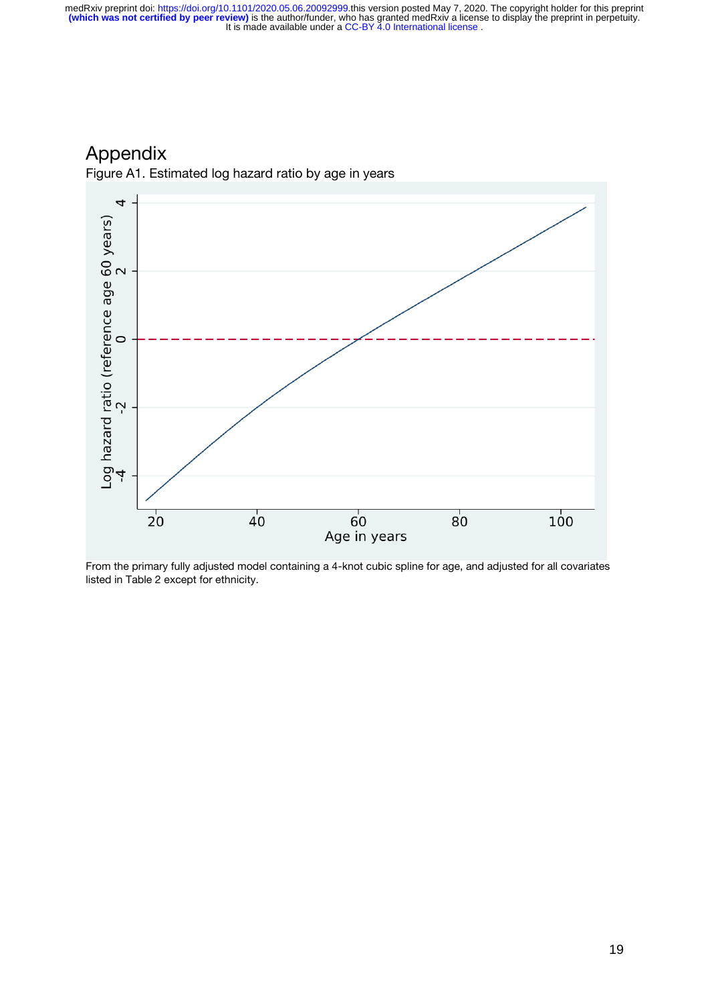4 Log hazard ratio (reference age 60 years)<br>-4  $2$  0  $\overline{20}$  $\overline{40}$  $100$  $60$  $80^{\circ}$ Age in years

Appendix

Figure A1. Estimated log hazard ratio by age in years

From the primary fully adjusted model containing a 4-knot cubic spline for age, and adjusted for all covariates listed in Table 2 except for ethnicity.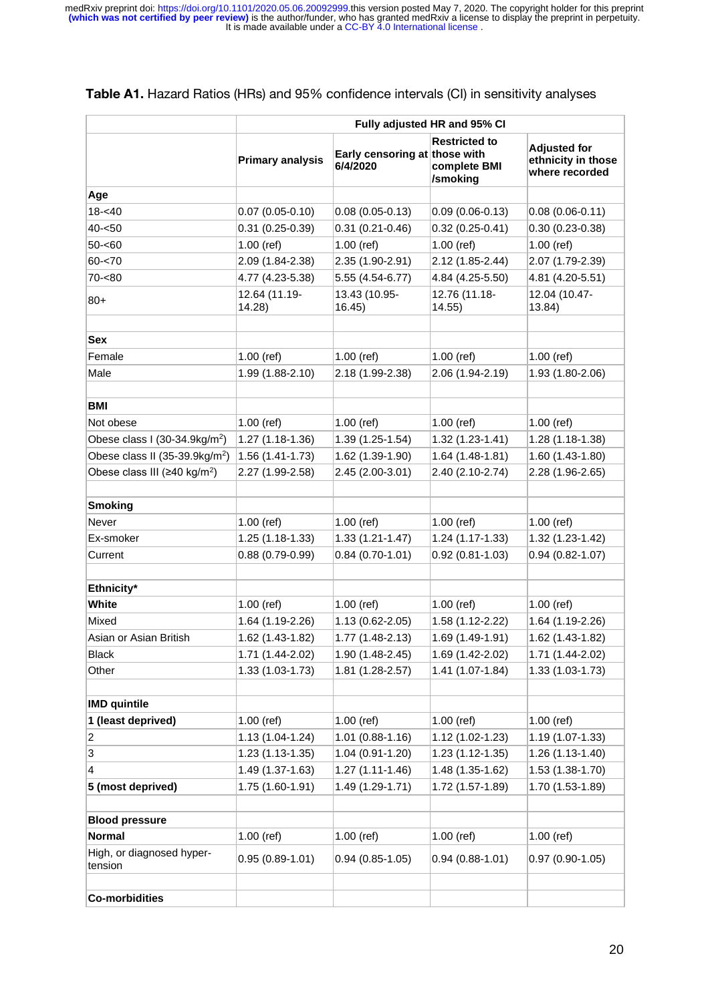|                                            | Fully adjusted HR and 95% CI |                                           |                                                  |                                                             |  |
|--------------------------------------------|------------------------------|-------------------------------------------|--------------------------------------------------|-------------------------------------------------------------|--|
|                                            | <b>Primary analysis</b>      | Early censoring at those with<br>6/4/2020 | <b>Restricted to</b><br>complete BMI<br>/smoking | <b>Adjusted for</b><br>ethnicity in those<br>where recorded |  |
| Age                                        |                              |                                           |                                                  |                                                             |  |
| $18 - 40$                                  | $0.07(0.05 - 0.10)$          | $0.08(0.05 - 0.13)$                       | $0.09(0.06 - 0.13)$                              | $0.08(0.06 - 0.11)$                                         |  |
| $40 - 50$                                  | $0.31(0.25-0.39)$            | $0.31(0.21 - 0.46)$                       | $0.32(0.25-0.41)$                                | $0.30(0.23-0.38)$                                           |  |
| $50 - 60$                                  | $1.00$ (ref)                 | $1.00$ (ref)                              | $1.00$ (ref)                                     | $1.00$ (ref)                                                |  |
| $60 - 70$                                  | 2.09 (1.84-2.38)             | 2.35 (1.90-2.91)                          | 2.12 (1.85-2.44)                                 | 2.07 (1.79-2.39)                                            |  |
| $70 - 80$                                  | 4.77 (4.23-5.38)             | 5.55 (4.54-6.77)                          | 4.84 (4.25-5.50)                                 | 4.81 (4.20-5.51)                                            |  |
| $80+$                                      | 12.64 (11.19-<br>14.28       | 13.43 (10.95-<br>16.45)                   | 12.76 (11.18-<br>14.55                           | 12.04 (10.47-<br>13.84)                                     |  |
| <b>Sex</b>                                 |                              |                                           |                                                  |                                                             |  |
| Female                                     | $1.00$ (ref)                 | $1.00$ (ref)                              | $1.00$ (ref)                                     | $1.00$ (ref)                                                |  |
| Male                                       | 1.99 (1.88-2.10)             | 2.18 (1.99-2.38)                          | 2.06 (1.94-2.19)                                 | 1.93 (1.80-2.06)                                            |  |
|                                            |                              |                                           |                                                  |                                                             |  |
| <b>BMI</b>                                 |                              |                                           |                                                  |                                                             |  |
| Not obese                                  | $1.00$ (ref)                 | $1.00$ (ref)                              | $1.00$ (ref)                                     | $1.00$ (ref)                                                |  |
| Obese class I (30-34.9kg/m <sup>2</sup> )  | 1.27 (1.18-1.36)             | 1.39 (1.25-1.54)                          | $1.32(1.23 - 1.41)$                              | 1.28 (1.18-1.38)                                            |  |
| Obese class II (35-39.9kg/m <sup>2</sup> ) | 1.56 (1.41-1.73)             | 1.62 (1.39-1.90)                          | $1.64(1.48-1.81)$                                | 1.60 (1.43-1.80)                                            |  |
| Obese class III (≥40 kg/m <sup>2</sup> )   | 2.27 (1.99-2.58)             | 2.45 (2.00-3.01)                          | 2.40 (2.10-2.74)                                 | 2.28 (1.96-2.65)                                            |  |
|                                            |                              |                                           |                                                  |                                                             |  |
| <b>Smoking</b>                             |                              |                                           |                                                  |                                                             |  |
| Never                                      | $1.00$ (ref)                 | $1.00$ (ref)                              | $1.00$ (ref)                                     | $1.00$ (ref)                                                |  |
| Ex-smoker                                  | 1.25 (1.18-1.33)             | $1.33(1.21 - 1.47)$                       | $1.24(1.17-1.33)$                                | 1.32 (1.23-1.42)                                            |  |
| Current                                    | 0.88 (0.79-0.99)             | $0.84(0.70-1.01)$                         | $0.92(0.81-1.03)$                                | $0.94(0.82 - 1.07)$                                         |  |
| Ethnicity*                                 |                              |                                           |                                                  |                                                             |  |
| <b>White</b>                               | $1.00$ (ref)                 | $1.00$ (ref)                              | $1.00$ (ref)                                     | $1.00$ (ref)                                                |  |
| Mixed                                      | 1.64 (1.19-2.26)             | 1.13 (0.62-2.05)                          | 1.58 (1.12-2.22)                                 | 1.64 (1.19-2.26)                                            |  |
| Asian or Asian British                     | 1.62 (1.43-1.82)             | 1.77 (1.48-2.13)                          | 1.69 (1.49-1.91)                                 | 1.62 (1.43-1.82)                                            |  |
| <b>Black</b>                               | 1.71 (1.44-2.02)             | 1.90 (1.48-2.45)                          | 1.69 (1.42-2.02)                                 | 1.71 (1.44-2.02)                                            |  |
| Other                                      | 1.33 (1.03-1.73)             | 1.81 (1.28-2.57)                          | 1.41 (1.07-1.84)                                 | 1.33 (1.03-1.73)                                            |  |
|                                            |                              |                                           |                                                  |                                                             |  |
| <b>IMD</b> quintile                        |                              |                                           |                                                  |                                                             |  |
| 1 (least deprived)                         | $1.00$ (ref)                 | $1.00$ (ref)                              | $1.00$ (ref)                                     | $1.00$ (ref)                                                |  |
| 2                                          | 1.13 (1.04-1.24)             | 1.01 (0.88-1.16)                          | 1.12 (1.02-1.23)                                 | 1.19 (1.07-1.33)                                            |  |
| 3                                          | 1.23 (1.13-1.35)             | 1.04 (0.91-1.20)                          | $1.23(1.12-1.35)$                                | 1.26 (1.13-1.40)                                            |  |
| 4                                          | 1.49 (1.37-1.63)             | 1.27 (1.11-1.46)                          | 1.48 (1.35-1.62)                                 | 1.53 (1.38-1.70)                                            |  |
| 5 (most deprived)                          | 1.75 (1.60-1.91)             | 1.49 (1.29-1.71)                          | 1.72 (1.57-1.89)                                 | 1.70 (1.53-1.89)                                            |  |
| <b>Blood pressure</b>                      |                              |                                           |                                                  |                                                             |  |
| <b>Normal</b>                              | 1.00 (ref)                   | $1.00$ (ref)                              | $1.00$ (ref)                                     | $1.00$ (ref)                                                |  |
| High, or diagnosed hyper-<br>tension       | $0.95(0.89 - 1.01)$          | $0.94(0.85-1.05)$                         | $0.94(0.88-1.01)$                                | $0.97(0.90-1.05)$                                           |  |
| <b>Co-morbidities</b>                      |                              |                                           |                                                  |                                                             |  |

#### **Table A1.** Hazard Ratios (HRs) and 95% confidence intervals (CI) in sensitivity analyses